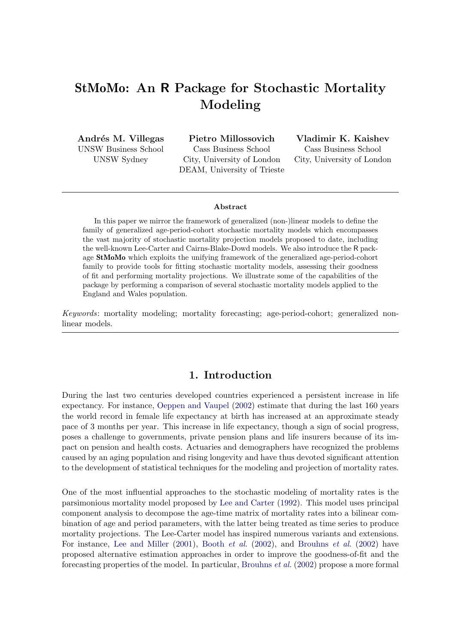# StMoMo: An R Package for Stochastic Mortality Modeling

Andrés M. Villegas UNSW Business School UNSW Sydney

Pietro Millossovich Cass Business School City, University of London DEAM, University of Trieste Vladimir K. Kaishev Cass Business School

City, University of London

#### Abstract

In this paper we mirror the framework of generalized (non-)linear models to define the family of generalized age-period-cohort stochastic mortality models which encompasses the vast majority of stochastic mortality projection models proposed to date, including the well-known Lee-Carter and Cairns-Blake-Dowd models. We also introduce the R package StMoMo which exploits the unifying framework of the generalized age-period-cohort family to provide tools for fitting stochastic mortality models, assessing their goodness of fit and performing mortality projections. We illustrate some of the capabilities of the package by performing a comparison of several stochastic mortality models applied to the England and Wales population.

*Keywords*: mortality modeling; mortality forecasting; age-period-cohort; generalized nonlinear models.

# 1. Introduction

During the last two centuries developed countries experienced a persistent increase in life expectancy. For instance, [Oeppen and Vaupel](#page-37-0) [\(2002\)](#page-37-0) estimate that during the last 160 years the world record in female life expectancy at birth has increased at an approximate steady pace of 3 months per year. This increase in life expectancy, though a sign of social progress, poses a challenge to governments, private pension plans and life insurers because of its impact on pension and health costs. Actuaries and demographers have recognized the problems caused by an aging population and rising longevity and have thus devoted significant attention to the development of statistical techniques for the modeling and projection of mortality rates.

One of the most influential approaches to the stochastic modeling of mortality rates is the parsimonious mortality model proposed by [Lee and Carter](#page-37-1) [\(1992\)](#page-37-1). This model uses principal component analysis to decompose the age-time matrix of mortality rates into a bilinear combination of age and period parameters, with the latter being treated as time series to produce mortality projections. The Lee-Carter model has inspired numerous variants and extensions. For instance, [Lee and Miller](#page-37-2) [\(2001\)](#page-37-2), [Booth](#page-35-0) *et al.* [\(2002\)](#page-35-0), and [Brouhns](#page-35-1) *et al.* [\(2002\)](#page-35-1) have proposed alternative estimation approaches in order to improve the goodness-of-fit and the forecasting properties of the model. In particular, [Brouhns](#page-35-1) *et al.* [\(2002\)](#page-35-1) propose a more formal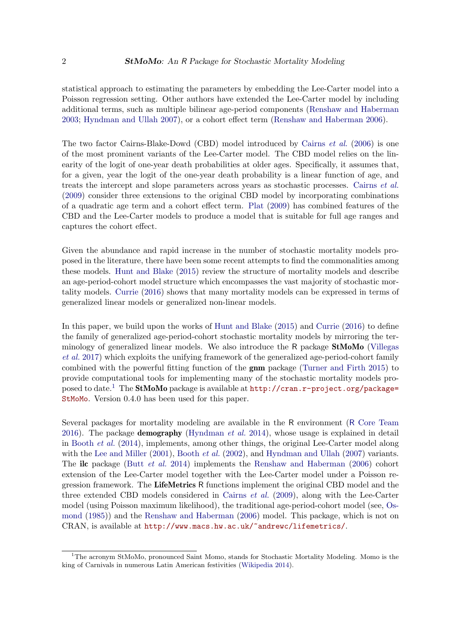statistical approach to estimating the parameters by embedding the Lee-Carter model into a Poisson regression setting. Other authors have extended the Lee-Carter model by including additional terms, such as multiple bilinear age-period components [\(Renshaw and Haberman](#page-37-3) [2003;](#page-37-3) [Hyndman and Ullah 2007\)](#page-37-4), or a cohort effect term [\(Renshaw and Haberman 2006\)](#page-37-5).

The two factor Cairns-Blake-Dowd (CBD) model introduced by [Cairns](#page-35-2) *et al.* [\(2006\)](#page-35-2) is one of the most prominent variants of the Lee-Carter model. The CBD model relies on the linearity of the logit of one-year death probabilities at older ages. Specifically, it assumes that, for a given, year the logit of the one-year death probability is a linear function of age, and treats the intercept and slope parameters across years as stochastic processes. [Cairns](#page-35-3) *et al.* [\(2009\)](#page-35-3) consider three extensions to the original CBD model by incorporating combinations of a quadratic age term and a cohort effect term. [Plat](#page-37-6) [\(2009\)](#page-37-6) has combined features of the CBD and the Lee-Carter models to produce a model that is suitable for full age ranges and captures the cohort effect.

Given the abundance and rapid increase in the number of stochastic mortality models proposed in the literature, there have been some recent attempts to find the commonalities among these models. [Hunt and Blake](#page-36-0) [\(2015\)](#page-36-0) review the structure of mortality models and describe an age-period-cohort model structure which encompasses the vast majority of stochastic mortality models. [Currie](#page-36-1) [\(2016\)](#page-36-1) shows that many mortality models can be expressed in terms of generalized linear models or generalized non-linear models.

In this paper, we build upon the works of [Hunt and Blake](#page-36-0) [\(2015\)](#page-36-0) and [Currie](#page-36-1) [\(2016\)](#page-36-1) to define the family of generalized age-period-cohort stochastic mortality models by mirroring the terminology of generalized linear models. We also introduce the R package StMoMo [\(Villegas](#page-38-0) *[et al.](#page-38-0)* [2017\)](#page-38-0) which exploits the unifying framework of the generalized age-period-cohort family combined with the powerful fitting function of the gnm package [\(Turner and Firth 2015\)](#page-38-1) to provide computational tools for implementing many of the stochastic mortality models pro-posed to date.<sup>[1](#page-1-0)</sup> The StMoMo package is available at [http://cran.r-project.org/package=](http://cran.r-project.org/package=StMoMo) [StMoMo](http://cran.r-project.org/package=StMoMo). Version 0.4.0 has been used for this paper.

Several packages for mortality modeling are available in the R environment (R [Core Team](#page-37-7) [2016\)](#page-37-7). The package demography [\(Hyndman](#page-36-2) *et al.* [2014\)](#page-36-2), whose usage is explained in detail in [Booth](#page-35-4) *et al.* [\(2014\)](#page-35-4), implements, among other things, the original Lee-Carter model along with the [Lee and Miller](#page-37-2) [\(2001\)](#page-37-2), [Booth](#page-35-0) *et al.* [\(2002\)](#page-35-0), and [Hyndman and Ullah](#page-37-4) [\(2007\)](#page-37-4) variants. The ilc package (Butt *[et al.](#page-35-5)* [2014\)](#page-35-5) implements the [Renshaw and Haberman](#page-37-5) [\(2006\)](#page-37-5) cohort extension of the Lee-Carter model together with the Lee-Carter model under a Poisson regression framework. The LifeMetrics R functions implement the original CBD model and the three extended CBD models considered in [Cairns](#page-35-3) *et al.* [\(2009\)](#page-35-3), along with the Lee-Carter model (using Poisson maximum likelihood), the traditional age-period-cohort model (see, [Os](#page-37-8)[mond](#page-37-8) [\(1985\)](#page-37-8)) and the [Renshaw and Haberman](#page-37-5) [\(2006\)](#page-37-5) model. This package, which is not on CRAN, is available at <http://www.macs.hw.ac.uk/~andrewc/lifemetrics/>.

<span id="page-1-0"></span><sup>1</sup>The acronym StMoMo, pronounced Saint Momo, stands for Stochastic Mortality Modeling. Momo is the king of Carnivals in numerous Latin American festivities [\(Wikipedia 2014\)](#page-38-2).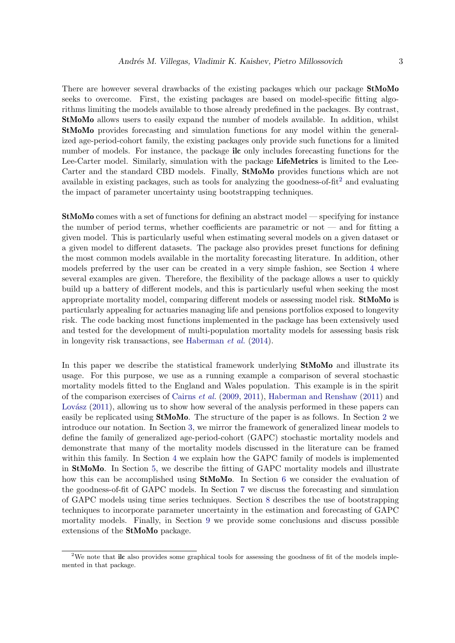There are however several drawbacks of the existing packages which our package StMoMo seeks to overcome. First, the existing packages are based on model-specific fitting algorithms limiting the models available to those already predefined in the packages. By contrast, StMoMo allows users to easily expand the number of models available. In addition, whilst StMoMo provides forecasting and simulation functions for any model within the generalized age-period-cohort family, the existing packages only provide such functions for a limited number of models. For instance, the package ilc only includes forecasting functions for the Lee-Carter model. Similarly, simulation with the package LifeMetrics is limited to the Lee-Carter and the standard CBD models. Finally, StMoMo provides functions which are not available in existing packages, such as tools for analyzing the goodness-of-fit<sup>[2](#page-2-0)</sup> and evaluating the impact of parameter uncertainty using bootstrapping techniques.

StMoMo comes with a set of functions for defining an abstract model — specifying for instance the number of period terms, whether coefficients are parametric or not — and for fitting a given model. This is particularly useful when estimating several models on a given dataset or a given model to different datasets. The package also provides preset functions for defining the most common models available in the mortality forecasting literature. In addition, other models preferred by the user can be created in a very simple fashion, see Section [4](#page-10-0) where several examples are given. Therefore, the flexibility of the package allows a user to quickly build up a battery of different models, and this is particularly useful when seeking the most appropriate mortality model, comparing different models or assessing model risk. StMoMo is particularly appealing for actuaries managing life and pensions portfolios exposed to longevity risk. The code backing most functions implemented in the package has been extensively used and tested for the development of multi-population mortality models for assessing basis risk in longevity risk transactions, see [Haberman](#page-36-3) *et al.* [\(2014\)](#page-36-3).

In this paper we describe the statistical framework underlying **StMoMo** and illustrate its usage. For this purpose, we use as a running example a comparison of several stochastic mortality models fitted to the England and Wales population. This example is in the spirit of the comparison exercises of [Cairns](#page-35-3) *et al.* [\(2009,](#page-35-3) [2011\)](#page-35-6), [Haberman and Renshaw](#page-36-4) [\(2011\)](#page-36-4) and Lovász  $(2011)$ , allowing us to show how several of the analysis performed in these papers can easily be replicated using StMoMo. The structure of the paper is as follows. In Section [2](#page-3-0) we introduce our notation. In Section [3,](#page-3-1) we mirror the framework of generalized linear models to define the family of generalized age-period-cohort (GAPC) stochastic mortality models and demonstrate that many of the mortality models discussed in the literature can be framed within this family. In Section [4](#page-10-0) we explain how the GAPC family of models is implemented in StMoMo. In Section [5,](#page-13-0) we describe the fitting of GAPC mortality models and illustrate how this can be accomplished using **StMoMo**. In Section [6](#page-16-0) we consider the evaluation of the goodness-of-fit of GAPC models. In Section [7](#page-21-0) we discuss the forecasting and simulation of GAPC models using time series techniques. Section [8](#page-29-0) describes the use of bootstrapping techniques to incorporate parameter uncertainty in the estimation and forecasting of GAPC mortality models. Finally, in Section [9](#page-33-0) we provide some conclusions and discuss possible extensions of the StMoMo package.

<span id="page-2-0"></span><sup>&</sup>lt;sup>2</sup>We note that ilc also provides some graphical tools for assessing the goodness of fit of the models implemented in that package.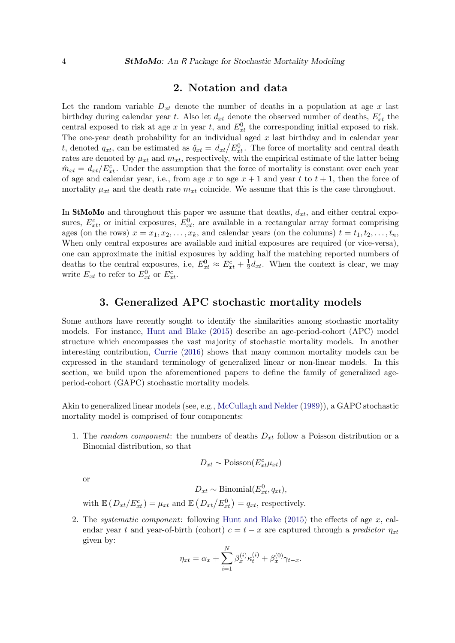## 2. Notation and data

<span id="page-3-0"></span>Let the random variable  $D_{xt}$  denote the number of deaths in a population at age x last birthday during calendar year t. Also let  $d_{xt}$  denote the observed number of deaths,  $E_{xt}^c$  the central exposed to risk at age x in year t, and  $E_{xt}^0$  the corresponding initial exposed to risk. The one-year death probability for an individual aged  $x$  last birthday and in calendar year t, denoted  $q_{xt}$ , can be estimated as  $\hat{q}_{xt} = d_{xt}/E_{xt}^0$ . The force of mortality and central death rates are denoted by  $\mu_{xt}$  and  $m_{xt}$ , respectively, with the empirical estimate of the latter being  $\hat{m}_{xt} = d_{xt}/E_{xt}^c$ . Under the assumption that the force of mortality is constant over each year of age and calendar year, i.e., from age x to age  $x + 1$  and year t to  $t + 1$ , then the force of mortality  $\mu_{xt}$  and the death rate  $m_{xt}$  coincide. We assume that this is the case throughout.

In StMoMo and throughout this paper we assume that deaths,  $d_{xt}$ , and either central exposures,  $E_{xt}^c$ , or initial exposures,  $E_{xt}^0$ , are available in a rectangular array format comprising ages (on the rows)  $x = x_1, x_2, \ldots, x_k$ , and calendar years (on the columns)  $t = t_1, t_2, \ldots, t_n$ , When only central exposures are available and initial exposures are required (or vice-versa), one can approximate the initial exposures by adding half the matching reported numbers of deaths to the central exposures, i.e,  $E_{xt}^0 \approx E_{xt}^c + \frac{1}{2}$  $\frac{1}{2}d_{xt}$ . When the context is clear, we may write  $E_{xt}$  to refer to  $E_{xt}^0$  or  $E_{xt}^c$ .

## 3. Generalized APC stochastic mortality models

<span id="page-3-1"></span>Some authors have recently sought to identify the similarities among stochastic mortality models. For instance, [Hunt and Blake](#page-36-0) [\(2015\)](#page-36-0) describe an age-period-cohort (APC) model structure which encompasses the vast majority of stochastic mortality models. In another interesting contribution, [Currie](#page-36-1) [\(2016\)](#page-36-1) shows that many common mortality models can be expressed in the standard terminology of generalized linear or non-linear models. In this section, we build upon the aforementioned papers to define the family of generalized ageperiod-cohort (GAPC) stochastic mortality models.

Akin to generalized linear models (see, e.g., [McCullagh and Nelder](#page-37-10) [\(1989\)](#page-37-10)), a GAPC stochastic mortality model is comprised of four components:

1. The *random component*: the numbers of deaths  $D_{xt}$  follow a Poisson distribution or a Binomial distribution, so that

$$
D_{xt} \sim \text{Poisson}(E_{xt}^c \mu_{xt})
$$

or

$$
D_{xt} \sim \text{Binomial}(E_{xt}^0, q_{xt}),
$$
  
with  $\mathbb{E}(D_{xt}/E_{xt}^c) = \mu_{xt}$  and  $\mathbb{E}(D_{xt}/E_{xt}^0) = q_{xt}$ , respectively.

2. The *systematic component*: following [Hunt and Blake](#page-36-0) [\(2015\)](#page-36-0) the effects of age x, calendar year t and year-of-birth (cohort)  $c = t - x$  are captured through a *predictor*  $\eta_{xt}$ given by:

$$
\eta_{xt} = \alpha_x + \sum_{i=1}^N \beta_x^{(i)} \kappa_t^{(i)} + \beta_x^{(0)} \gamma_{t-x}.
$$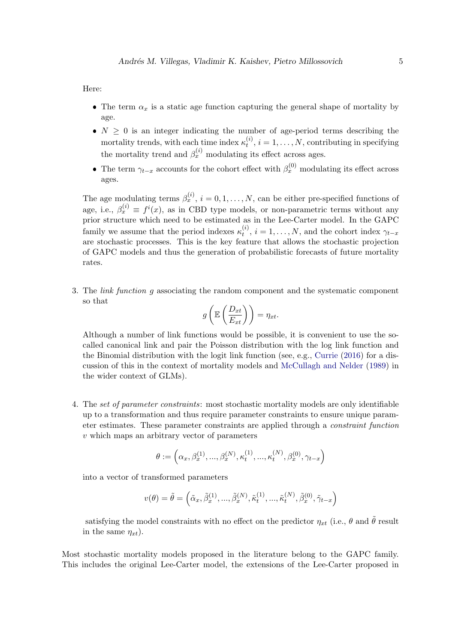Here:

- The term  $\alpha_x$  is a static age function capturing the general shape of mortality by age.
- $N \geq 0$  is an integer indicating the number of age-period terms describing the mortality trends, with each time index  $\kappa_t^{(i)}$  $t_i^{(i)}$ ,  $i = 1, \ldots, N$ , contributing in specifying the mortality trend and  $\beta_x^{(i)}$  modulating its effect across ages.
- The term  $\gamma_{t-x}$  accounts for the cohort effect with  $\beta_x^{(0)}$  modulating its effect across ages.

The age modulating terms  $\beta_x^{(i)}$ ,  $i = 0, 1, ..., N$ , can be either pre-specified functions of age, i.e.,  $\beta_x^{(i)} \equiv f^i(x)$ , as in CBD type models, or non-parametric terms without any prior structure which need to be estimated as in the Lee-Carter model. In the GAPC family we assume that the period indexes  $\kappa_t^{(i)}$  $t_i^{(i)}$ ,  $i = 1, \ldots, N$ , and the cohort index  $\gamma_{t-x_i}$ are stochastic processes. This is the key feature that allows the stochastic projection of GAPC models and thus the generation of probabilistic forecasts of future mortality rates.

3. The *link function* g associating the random component and the systematic component so that

$$
g\left(\mathbb{E}\left(\frac{D_{xt}}{E_{xt}}\right)\right) = \eta_{xt}.
$$

Although a number of link functions would be possible, it is convenient to use the socalled canonical link and pair the Poisson distribution with the log link function and the Binomial distribution with the logit link function (see, e.g., [Currie](#page-36-1) [\(2016\)](#page-36-1) for a discussion of this in the context of mortality models and [McCullagh and Nelder](#page-37-10) [\(1989\)](#page-37-10) in the wider context of GLMs).

4. The *set of parameter constraints*: most stochastic mortality models are only identifiable up to a transformation and thus require parameter constraints to ensure unique parameter estimates. These parameter constraints are applied through a *constraint function* v which maps an arbitrary vector of parameters

$$
\theta := \left(\alpha_x, \beta_x^{(1)}, ..., \beta_x^{(N)}, \kappa_t^{(1)}, ..., \kappa_t^{(N)}, \beta_x^{(0)}, \gamma_{t-x}\right)
$$

into a vector of transformed parameters

$$
v(\theta) = \tilde{\theta} = \left(\tilde{\alpha}_x, \tilde{\beta}_x^{(1)}, ..., \tilde{\beta}_x^{(N)}, \tilde{\kappa}_t^{(1)}, ..., \tilde{\kappa}_t^{(N)}, \tilde{\beta}_x^{(0)}, \tilde{\gamma}_{t-x}\right)
$$

satisfying the model constraints with no effect on the predictor  $\eta_{xt}$  (i.e.,  $\theta$  and  $\tilde{\theta}$  result in the same  $\eta_{xt}$ ).

Most stochastic mortality models proposed in the literature belong to the GAPC family. This includes the original Lee-Carter model, the extensions of the Lee-Carter proposed in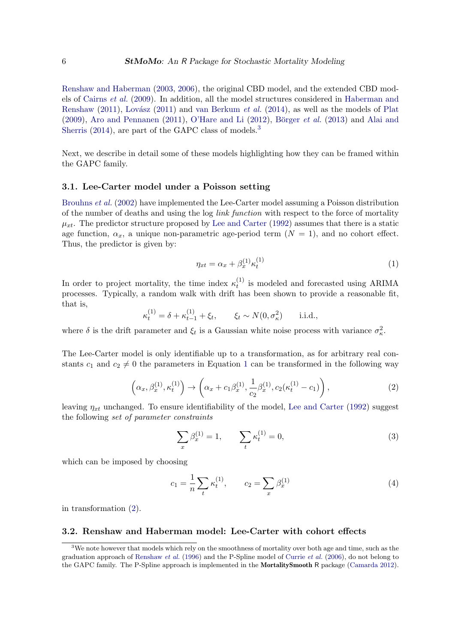[Renshaw and Haberman](#page-37-3) [\(2003,](#page-37-3) [2006\)](#page-37-5), the original CBD model, and the extended CBD models of [Cairns](#page-35-3) *et al.* [\(2009\)](#page-35-3). In addition, all the model structures considered in [Haberman and](#page-36-4) [Renshaw](#page-36-4) [\(2011\)](#page-37-9), Lovász (2011) and [van Berkum](#page-38-3) *et al.* [\(2014\)](#page-38-3), as well as the models of [Plat](#page-37-6)  $(2009)$ , [Aro and Pennanen](#page-35-7)  $(2011)$ , [O'Hare and Li](#page-37-11)  $(2012)$ , Börger *et al.*  $(2013)$  and [Alai and](#page-35-9) [Sherris](#page-35-9)  $(2014)$ , are part of the GAPC class of models.<sup>[3](#page-5-0)</sup>

Next, we describe in detail some of these models highlighting how they can be framed within the GAPC family.

#### <span id="page-5-3"></span>3.1. Lee-Carter model under a Poisson setting

[Brouhns](#page-35-1) *et al.* [\(2002\)](#page-35-1) have implemented the Lee-Carter model assuming a Poisson distribution of the number of deaths and using the log *link function* with respect to the force of mortality  $\mu_{xt}$ . The predictor structure proposed by [Lee and Carter](#page-37-1) [\(1992\)](#page-37-1) assumes that there is a static age function,  $\alpha_x$ , a unique non-parametric age-period term  $(N = 1)$ , and no cohort effect. Thus, the predictor is given by:

<span id="page-5-1"></span>
$$
\eta_{xt} = \alpha_x + \beta_x^{(1)} \kappa_t^{(1)} \tag{1}
$$

In order to project mortality, the time index  $\kappa_t^{(1)}$  $t_t^{(1)}$  is modeled and forecasted using ARIMA processes. Typically, a random walk with drift has been shown to provide a reasonable fit, that is,

$$
\kappa_t^{(1)} = \delta + \kappa_{t-1}^{(1)} + \xi_t, \qquad \xi_t \sim N(0, \sigma_\kappa^2) \qquad \text{i.i.d.,}
$$

where  $\delta$  is the drift parameter and  $\xi_t$  is a Gaussian white noise process with variance  $\sigma_{\kappa}^2$ .

<span id="page-5-2"></span>The Lee-Carter model is only identifiable up to a transformation, as for arbitrary real constants  $c_1$  $c_1$  and  $c_2 \neq 0$  the parameters in Equation 1 can be transformed in the following way

$$
\left(\alpha_x, \beta_x^{(1)}, \kappa_t^{(1)}\right) \to \left(\alpha_x + c_1 \beta_x^{(1)}, \frac{1}{c_2} \beta_x^{(1)}, c_2(\kappa_t^{(1)} - c_1)\right),\tag{2}
$$

leaving  $\eta_{xt}$  unchanged. To ensure identifiability of the model, [Lee and Carter](#page-37-1) [\(1992\)](#page-37-1) suggest the following *set of parameter constraints*

<span id="page-5-5"></span><span id="page-5-4"></span>
$$
\sum_{x} \beta_x^{(1)} = 1, \qquad \sum_{t} \kappa_t^{(1)} = 0,\tag{3}
$$

which can be imposed by choosing

$$
c_1 = \frac{1}{n} \sum_{t} \kappa_t^{(1)}, \qquad c_2 = \sum_{x} \beta_x^{(1)} \tag{4}
$$

in transformation [\(2\)](#page-5-2).

#### <span id="page-5-6"></span>3.2. Renshaw and Haberman model: Lee-Carter with cohort effects

<span id="page-5-0"></span><sup>&</sup>lt;sup>3</sup>We note however that models which rely on the smoothness of mortality over both age and time, such as the graduation approach of [Renshaw](#page-37-12) et al. [\(1996\)](#page-37-12) and the P-Spline model of [Currie](#page-36-5) et al. [\(2006\)](#page-36-5), do not belong to the GAPC family. The P-Spline approach is implemented in the MortalitySmooth R package [\(Camarda 2012\)](#page-35-10).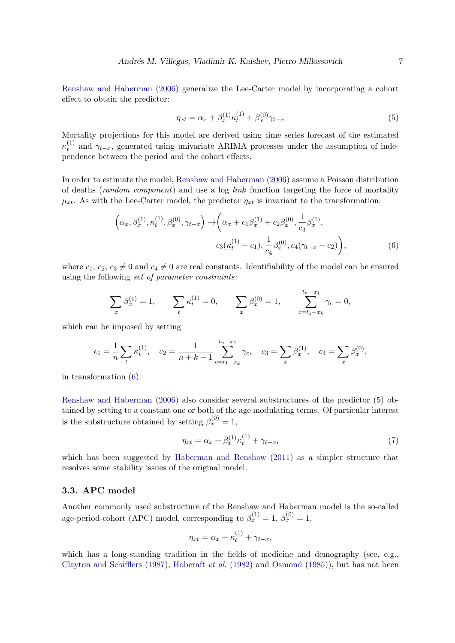[Renshaw and Haberman](#page-37-5) [\(2006\)](#page-37-5) generalize the Lee-Carter model by incorporating a cohort effect to obtain the predictor:

<span id="page-6-1"></span><span id="page-6-0"></span>
$$
\eta_{xt} = \alpha_x + \beta_x^{(1)} \kappa_t^{(1)} + \beta_x^{(0)} \gamma_{t-x}
$$
\n(5)

Mortality projections for this model are derived using time series forecast of the estimated  $\kappa_t^{(1)}$  $t<sup>(1)</sup>$  and  $\gamma_{t-x}$ , generated using univariate ARIMA processes under the assumption of independence between the period and the cohort effects.

In order to estimate the model, [Renshaw and Haberman](#page-37-5) [\(2006\)](#page-37-5) assume a Poisson distribution of deaths (*random component*) and use a log *link* function targeting the force of mortality  $\mu_{xt}$ . As with the Lee-Carter model, the predictor  $\eta_{xt}$  is invariant to the transformation:

$$
\left(\alpha_x, \beta_x^{(1)}, \kappa_t^{(1)}, \beta_x^{(0)}, \gamma_{t-x}\right) \to \left(\alpha_x + c_1 \beta_x^{(1)} + c_2 \beta_x^{(0)}, \frac{1}{c_3} \beta_x^{(1)},\right)
$$

$$
c_3(\kappa_t^{(1)} - c_1), \frac{1}{c_4} \beta_x^{(0)}, c_4(\gamma_{t-x} - c_2)\right),\tag{6}
$$

where  $c_1, c_2, c_3 \neq 0$  and  $c_4 \neq 0$  are real constants. Identifiability of the model can be ensured using the following *set of parameter constraints*:

$$
\sum_{x} \beta_x^{(1)} = 1, \qquad \sum_{t} \kappa_t^{(1)} = 0, \qquad \sum_{x} \beta_x^{(0)} = 1, \qquad \sum_{c=t_1 - x_k}^{t_n - x_1} \gamma_c = 0,
$$

which can be imposed by setting

$$
c_1 = \frac{1}{n} \sum_t \kappa_t^{(1)}, \quad c_2 = \frac{1}{n+k-1} \sum_{c=t_1-x_k}^{t_n-x_1} \gamma_c, \quad c_3 = \sum_x \beta_x^{(1)}, \quad c_4 = \sum_x \beta_x^{(0)},
$$

in transformation [\(6\)](#page-6-0).

[Renshaw and Haberman](#page-37-5) [\(2006\)](#page-37-5) also consider several substructures of the predictor [\(5\)](#page-6-1) obtained by setting to a constant one or both of the age modulating terms. Of particular interest is the substructure obtained by setting  $\beta_x^{(0)} = 1$ ,

<span id="page-6-2"></span>
$$
\eta_{xt} = \alpha_x + \beta_x^{(1)} \kappa_t^{(1)} + \gamma_{t-x},\tag{7}
$$

which has been suggested by [Haberman and Renshaw](#page-36-4) [\(2011\)](#page-36-4) as a simpler structure that resolves some stability issues of the original model.

#### <span id="page-6-3"></span>3.3. APC model

Another commonly used substructure of the Renshaw and Haberman model is the so-called age-period-cohort (APC) model, corresponding to  $\beta_x^{(1)} = 1$ ,  $\beta_x^{(0)} = 1$ ,

$$
\eta_{xt} = \alpha_x + \kappa_t^{(1)} + \gamma_{t-x},
$$

which has a long-standing tradition in the fields of medicine and demography (see, e.g., [Clayton and Schifflers](#page-35-11) [\(1987\)](#page-35-11), [Hobcraft](#page-36-6) *et al.* [\(1982\)](#page-36-6) and [Osmond](#page-37-8) [\(1985\)](#page-37-8)), but has not been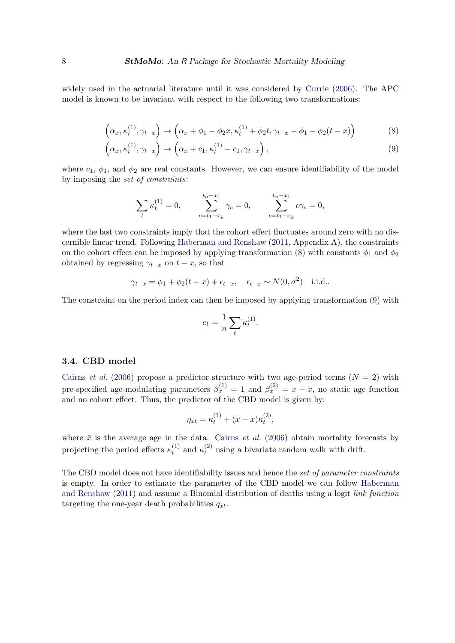widely used in the actuarial literature until it was considered by [Currie](#page-35-12) [\(2006\)](#page-35-12). The APC model is known to be invariant with respect to the following two transformations:

$$
\left(\alpha_x, \kappa_t^{(1)}, \gamma_{t-x}\right) \to \left(\alpha_x + \phi_1 - \phi_2 x, \kappa_t^{(1)} + \phi_2 t, \gamma_{t-x} - \phi_1 - \phi_2 (t-x)\right) \tag{8}
$$

$$
\left(\alpha_x, \kappa_t^{(1)}, \gamma_{t-x}\right) \to \left(\alpha_x + c_1, \kappa_t^{(1)} - c_1, \gamma_{t-x}\right),\tag{9}
$$

where  $c_1, \phi_1$ , and  $\phi_2$  are real constants. However, we can ensure identifiability of the model by imposing the *set of constraints*:

<span id="page-7-0"></span>
$$
\sum_{t} \kappa_t^{(1)} = 0, \qquad \sum_{c=t_1-x_k}^{t_n-x_1} \gamma_c = 0, \qquad \sum_{c=t_1-x_k}^{t_n-x_1} c \gamma_c = 0,
$$

where the last two constraints imply that the cohort effect fluctuates around zero with no discernible linear trend. Following [Haberman and Renshaw](#page-36-4) [\(2011,](#page-36-4) Appendix A), the constraints on the cohort effect can be imposed by applying transformation [\(8\)](#page-7-0) with constants  $\phi_1$  and  $\phi_2$ obtained by regressing  $\gamma_{t-x}$  on  $t-x$ , so that

$$
\gamma_{t-x} = \phi_1 + \phi_2(t-x) + \epsilon_{t-x}, \quad \epsilon_{t-x} \sim N(0, \sigma^2) \quad \text{i.i.d.}.
$$

The constraint on the period index can then be imposed by applying transformation [\(9\)](#page-7-1) with

<span id="page-7-1"></span>
$$
c_1 = \frac{1}{n} \sum_t \kappa_t^{(1)}.
$$

#### 3.4. CBD model

[Cairns](#page-35-2) *et al.* [\(2006\)](#page-35-2) propose a predictor structure with two age-period terms  $(N = 2)$  with pre-specified age-modulating parameters  $\beta_x^{(1)} = 1$  and  $\beta_x^{(2)} = x - \bar{x}$ , no static age function and no cohort effect. Thus, the predictor of the CBD model is given by:

$$
\eta_{xt} = \kappa_t^{(1)} + (x - \bar{x})\kappa_t^{(2)},
$$

where  $\bar{x}$  is the average age in the data. [Cairns](#page-35-2) *et al.* [\(2006\)](#page-35-2) obtain mortality forecasts by projecting the period effects  $\kappa_t^{(1)}$  $t_t^{(1)}$  and  $\kappa_t^{(2)}$  using a bivariate random walk with drift.

The CBD model does not have identifiability issues and hence the *set of parameter constraints* is empty. In order to estimate the parameter of the CBD model we can follow [Haberman](#page-36-4) [and Renshaw](#page-36-4) [\(2011\)](#page-36-4) and assume a Binomial distribution of deaths using a logit *link function* targeting the one-year death probabilities  $q_{xt}$ .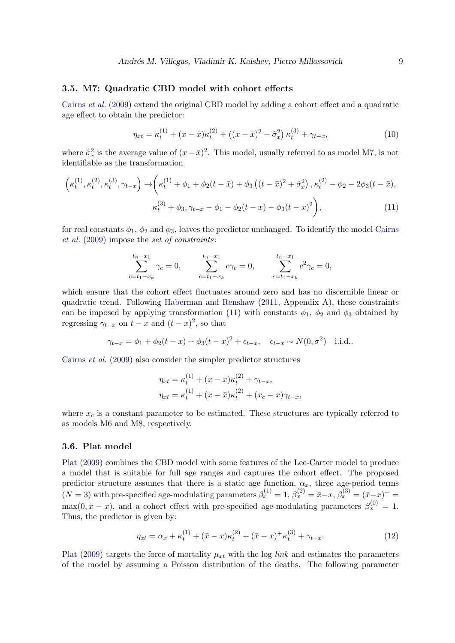#### <span id="page-8-3"></span>3.5. M7: Quadratic CBD model with cohort effects

[Cairns](#page-35-3) *et al.* [\(2009\)](#page-35-3) extend the original CBD model by adding a cohort effect and a quadratic age effect to obtain the predictor:

<span id="page-8-2"></span>
$$
\eta_{xt} = \kappa_t^{(1)} + (x - \bar{x})\kappa_t^{(2)} + ((x - \bar{x})^2 - \hat{\sigma}_x^2)\kappa_t^{(3)} + \gamma_{t-x},\tag{10}
$$

where  $\hat{\sigma}_x^2$  is the average value of  $(x-\bar{x})^2$ . This model, usually referred to as model M7, is not identifiable as the transformation

$$
\left(\kappa_t^{(1)}, \kappa_t^{(2)}, \kappa_t^{(3)}, \gamma_{t-x}\right) \to \left(\kappa_t^{(1)} + \phi_1 + \phi_2(t-\bar{x}) + \phi_3\left((t-\bar{x})^2 + \hat{\sigma}_x^2\right), \kappa_t^{(2)} - \phi_2 - 2\phi_3(t-\bar{x}),
$$
\n
$$
\kappa_t^{(3)} + \phi_3, \gamma_{t-x} - \phi_1 - \phi_2(t-x) - \phi_3(t-x)^2\right),\tag{11}
$$

for real constants  $\phi_1$ ,  $\phi_2$  and  $\phi_3$ , leaves the predictor unchanged. To identify the model [Cairns](#page-35-3) *[et al.](#page-35-3)* [\(2009\)](#page-35-3) impose the *set of constraints*:

<span id="page-8-0"></span>
$$
\sum_{c=t_1-x_k}^{t_n-x_1} \gamma_c = 0, \qquad \sum_{c=t_1-x_k}^{t_n-x_1} c \gamma_c = 0, \qquad \sum_{c=t_1-x_k}^{t_n-x_1} c^2 \gamma_c = 0,
$$

which ensure that the cohort effect fluctuates around zero and has no discernible linear or quadratic trend. Following [Haberman and Renshaw](#page-36-4) [\(2011,](#page-36-4) Appendix A), these constraints can be imposed by applying transformation [\(11\)](#page-8-0) with constants  $\phi_1$ ,  $\phi_2$  and  $\phi_3$  obtained by regressing  $\gamma_{t-x}$  on  $t-x$  and  $(t-x)^2$ , so that

$$
\gamma_{t-x} = \phi_1 + \phi_2(t-x) + \phi_3(t-x)^2 + \epsilon_{t-x}, \quad \epsilon_{t-x} \sim N(0, \sigma^2)
$$
 i.i.d..

[Cairns](#page-35-3) *et al.* [\(2009\)](#page-35-3) also consider the simpler predictor structures

$$
\eta_{xt} = \kappa_t^{(1)} + (x - \bar{x})\kappa_t^{(2)} + \gamma_{t-x},
$$
  

$$
\eta_{xt} = \kappa_t^{(1)} + (x - \bar{x})\kappa_t^{(2)} + (x_c - \bar{x})\gamma_{t-x},
$$

where  $x_c$  is a constant parameter to be estimated. These structures are typically referred to as models M6 and M8, respectively.

#### <span id="page-8-4"></span>3.6. Plat model

[Plat](#page-37-6) [\(2009\)](#page-37-6) combines the CBD model with some features of the Lee-Carter model to produce a model that is suitable for full age ranges and captures the cohort effect. The proposed predictor structure assumes that there is a static age function,  $\alpha_x$ , three age-period terms  $(N = 3)$  with pre-specified age-modulating parameters  $\beta_x^{(1)} = 1$ ,  $\beta_x^{(2)} = \bar{x} - x$ ,  $\beta_x^{(3)} = (\bar{x} - x)^+ = 1$ max(0,  $\bar{x} - x$ ), and a cohort effect with pre-specified age-modulating parameters  $\beta_x^{(0)} = 1$ . Thus, the predictor is given by:

<span id="page-8-1"></span>
$$
\eta_{xt} = \alpha_x + \kappa_t^{(1)} + (\bar{x} - x)\kappa_t^{(2)} + (\bar{x} - x)^+ \kappa_t^{(3)} + \gamma_{t-x}.
$$
\n(12)

[Plat](#page-37-6) [\(2009\)](#page-37-6) targets the force of mortality  $\mu_{xt}$  with the log *link* and estimates the parameters of the model by assuming a Poisson distribution of the deaths. The following parameter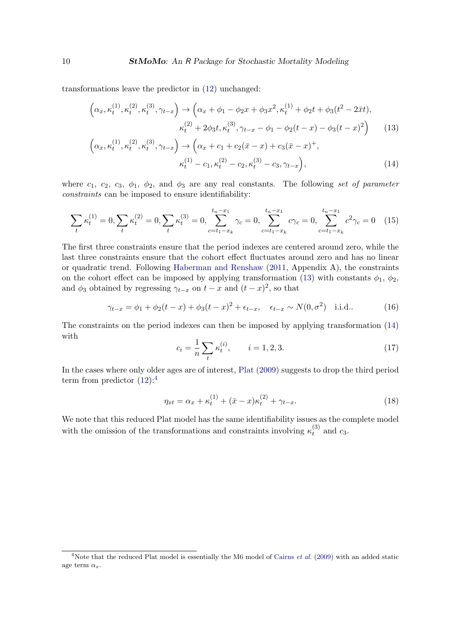transformations leave the predictor in [\(12\)](#page-8-1) unchanged:

$$
\left(\alpha_x, \kappa_t^{(1)}, \kappa_t^{(2)}, \kappa_t^{(3)}, \gamma_{t-x}\right) \to \left(\alpha_x + \phi_1 - \phi_2 x + \phi_3 x^2, \kappa_t^{(1)} + \phi_2 t + \phi_3 (t^2 - 2\bar{x}t),\right.
$$
\n
$$
\kappa_t^{(2)} + 2\phi_3 t, \kappa_t^{(3)}, \gamma_{t-x} - \phi_1 - \phi_2 (t-x) - \phi_3 (t-x)^2\right) \tag{13}
$$
\n
$$
\left(\alpha_x, \kappa_t^{(1)}, \kappa_t^{(2)}, \kappa_t^{(3)}, \gamma_{t-x}\right) \to \left(\alpha_x + c_1 + c_2(\bar{x} - x) + c_3(\bar{x} - x)^+, \right)
$$

<span id="page-9-6"></span><span id="page-9-1"></span><span id="page-9-0"></span>
$$
\left( \alpha_{t}, \kappa_{t}^{(3)}, \gamma_{t-x} \right) \to \left( \alpha_{x} + c_{1} + c_{2}(\bar{x} - x) + c_{3}(\bar{x} - x)^{+}, \kappa_{t}^{(1)} - c_{1}, \kappa_{t}^{(2)} - c_{2}, \kappa_{t}^{(3)} - c_{3}, \gamma_{t-x} \right), \tag{14}
$$

where  $c_1$ ,  $c_2$ ,  $c_3$ ,  $\phi_1$ ,  $\phi_2$ , and  $\phi_3$  are any real constants. The following *set of parameter constraints* can be imposed to ensure identifiability:

$$
\sum_{t} \kappa_t^{(1)} = 0, \sum_{t} \kappa_t^{(2)} = 0, \sum_{t} \kappa_t^{(3)} = 0, \sum_{c=t_1-x_k}^{t_n-x_1} \gamma_c = 0, \sum_{c=t_1-x_k}^{t_n-x_1} c \gamma_c = 0, \sum_{c=t_1-x_k}^{t_n-x_1} c^2 \gamma_c = 0 \quad (15)
$$

The first three constraints ensure that the period indexes are centered around zero, while the last three constraints ensure that the cohort effect fluctuates around zero and has no linear or quadratic trend. Following [Haberman and Renshaw](#page-36-4) [\(2011,](#page-36-4) Appendix A), the constraints on the cohort effect can be imposed by applying transformation [\(13\)](#page-9-0) with constants  $\phi_1$ ,  $\phi_2$ , and  $\phi_3$  obtained by regressing  $\gamma_{t-x}$  on  $t-x$  and  $(t-x)^2$ , so that

$$
\gamma_{t-x} = \phi_1 + \phi_2(t-x) + \phi_3(t-x)^2 + \epsilon_{t-x}, \quad \epsilon_{t-x} \sim N(0, \sigma^2) \quad \text{i.i.d.} \tag{16}
$$

<span id="page-9-5"></span>The constraints on the period indexes can then be imposed by applying transformation [\(14\)](#page-9-1) with

<span id="page-9-4"></span>
$$
c_i = \frac{1}{n} \sum_{t} \kappa_t^{(i)}, \qquad i = 1, 2, 3. \tag{17}
$$

In the cases where only older ages are of interest, [Plat](#page-37-6) [\(2009\)](#page-37-6) suggests to drop the third period term from predictor  $(12)$ :<sup>[4](#page-9-2)</sup>

<span id="page-9-3"></span>
$$
\eta_{xt} = \alpha_x + \kappa_t^{(1)} + (\bar{x} - x)\kappa_t^{(2)} + \gamma_{t-x}.
$$
\n(18)

We note that this reduced Plat model has the same identifiability issues as the complete model with the omission of the transformations and constraints involving  $\kappa_t^{(3)}$  $t_t^{(3)}$  and  $c_3$ .

<span id="page-9-2"></span><sup>&</sup>lt;sup>4</sup>Note that the reduced Plat model is essentially the M6 model of [Cairns](#page-35-3) *et al.* [\(2009\)](#page-35-3) with an added static age term  $\alpha_x$ .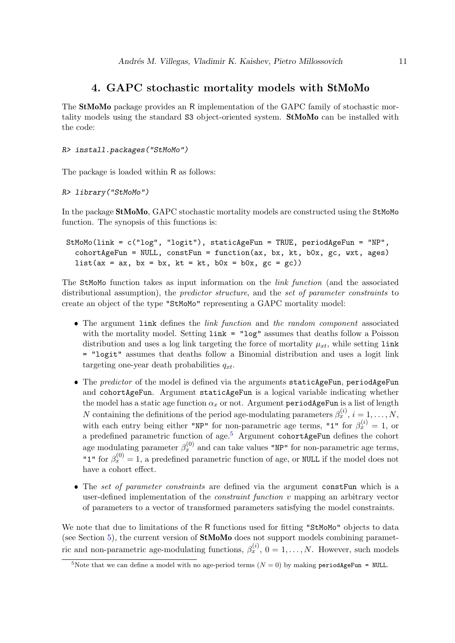# 4. GAPC stochastic mortality models with StMoMo

<span id="page-10-0"></span>The StMoMo package provides an R implementation of the GAPC family of stochastic mortality models using the standard S3 object-oriented system. StMoMo can be installed with the code:

```
R> install.packages("StMoMo")
```
The package is loaded within R as follows:

```
R> library("StMoMo")
```
In the package StMoMo, GAPC stochastic mortality models are constructed using the StMoMo function. The synopsis of this functions is:

```
StMoMo(link = c("log", "logit"), staticAgeFun = TRUE, periodAgeFun = "NP",
  cohortAgeFun = NULL, constFun = function(ax, bx, kt, b0x, gc, wxt, ages)
  list(ax = ax, bx = bx, kt = kt, b0x = b0x, gc = gc))
```
The StMoMo function takes as input information on the *link function* (and the associated distributional assumption), the *predictor structure*, and the *set of parameter constraints* to create an object of the type "StMoMo" representing a GAPC mortality model:

- ❼ The argument link defines the *link function* and *the random component* associated with the mortality model. Setting link = "log" assumes that deaths follow a Poisson distribution and uses a log link targeting the force of mortality  $\mu_{xt}$ , while setting link = "logit" assumes that deaths follow a Binomial distribution and uses a logit link targeting one-year death probabilities  $q_{xt}$ .
- ❼ The *predictor* of the model is defined via the arguments staticAgeFun, periodAgeFun and cohortAgeFun. Argument staticAgeFun is a logical variable indicating whether the model has a static age function  $\alpha_x$  or not. Argument periodAgeFun is a list of length N containing the definitions of the period age-modulating parameters  $\beta_x^{(i)}$ ,  $i = 1, \ldots, N$ , with each entry being either "NP" for non-parametric age terms, "1" for  $\beta_x^{(i)} = 1$ , or a predefined parametric function of age.<sup>[5](#page-10-1)</sup> Argument cohortAgeFun defines the cohort age modulating parameter  $\beta_x^{(0)}$  and can take values "NP" for non-parametric age terms, "1" for  $\beta_x^{(0)} = 1$ , a predefined parametric function of age, or NULL if the model does not have a cohort effect.
- ❼ The *set of parameter constraints* are defined via the argument constFun which is a user-defined implementation of the *constraint function* v mapping an arbitrary vector of parameters to a vector of transformed parameters satisfying the model constraints.

We note that due to limitations of the R functions used for fitting "StMoMo" objects to data (see Section [5\)](#page-13-0), the current version of StMoMo does not support models combining parametric and non-parametric age-modulating functions,  $\beta_x^{(i)}$ ,  $0 = 1, \ldots, N$ . However, such models

<span id="page-10-1"></span><sup>&</sup>lt;sup>5</sup>Note that we can define a model with no age-period terms  $(N = 0)$  by making **periodAgeFun** = NULL.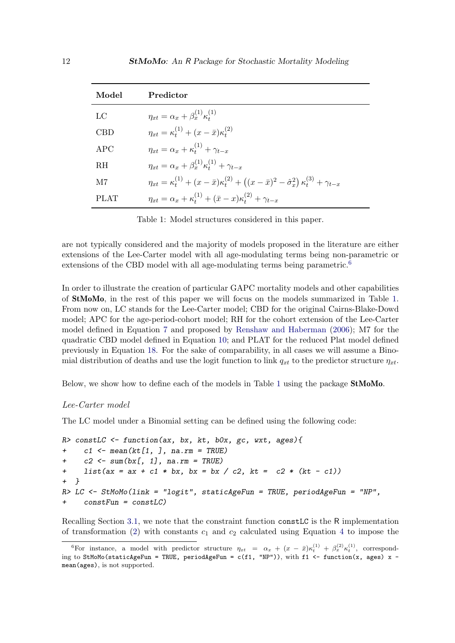| Model     | Predictor                                                                                                                      |
|-----------|--------------------------------------------------------------------------------------------------------------------------------|
| LC        | $\eta_{xt} = \alpha_x + \beta_x^{(1)} \kappa_x^{(1)}$                                                                          |
| CBD       | $\eta_{xt} = \kappa^{(1)}_t + (x - \bar{x})\kappa^{(2)}_t$                                                                     |
| APC       | $\eta_{xt} = \alpha_x + \kappa^{(1)}_+ + \gamma_{t-x}$                                                                         |
| <b>RH</b> | $\eta_{xt} = \alpha_x + \beta_x^{(1)} \kappa_x^{(1)} + \gamma_{t-x}$                                                           |
| M7        | $\eta_{xt} = \kappa_t^{(1)} + (x - \bar{x})\kappa_t^{(2)} + ((x - \bar{x})^2 - \hat{\sigma}_x^2)\kappa_t^{(3)} + \gamma_{t-x}$ |
| PLAT      | $\eta_{rt} = \alpha_r + \kappa_t^{(1)} + (\bar{x} - x)\kappa_t^{(2)} + \gamma_{t-r}$                                           |

<span id="page-11-1"></span>Table 1: Model structures considered in this paper.

are not typically considered and the majority of models proposed in the literature are either extensions of the Lee-Carter model with all age-modulating terms being non-parametric or extensions of the CBD model with all age-modulating terms being parametric.<sup>[6](#page-11-0)</sup>

In order to illustrate the creation of particular GAPC mortality models and other capabilities of StMoMo, in the rest of this paper we will focus on the models summarized in Table [1.](#page-11-1) From now on, LC stands for the Lee-Carter model; CBD for the original Cairns-Blake-Dowd model; APC for the age-period-cohort model; RH for the cohort extension of the Lee-Carter model defined in Equation [7](#page-6-2) and proposed by [Renshaw and Haberman](#page-37-5) [\(2006\)](#page-37-5); M7 for the quadratic CBD model defined in Equation [10;](#page-8-2) and PLAT for the reduced Plat model defined previously in Equation [18.](#page-9-3) For the sake of comparability, in all cases we will assume a Binomial distribution of deaths and use the logit function to link  $q_{xt}$  to the predictor structure  $\eta_{xt}$ .

Below, we show how to define each of the models in Table [1](#page-11-1) using the package StMoMo.

#### Lee-Carter model

The LC model under a Binomial setting can be defined using the following code:

```
R> constLC <- function(ax, bx, kt, b0x, gc, wxt, ages){
+ c1 <- mean(kt[1, ], na.rm = TRUE)
    + c2 <- sum(bx[, 1], na.rm = TRUE)
+ list(ax = ax + c1 * bx, bx = bx / c2, kt = c2 * (kt - c1))
+ }
R> LC <- StMoMo(link = "logit", staticAgeFun = TRUE, periodAgeFun = "NP",
+ constFun = constLC)
```
Recalling Section [3.1,](#page-5-3) we note that the constraint function constLC is the R implementation of transformation [\(2\)](#page-5-2) with constants  $c_1$  and  $c_2$  calculated using Equation [4](#page-5-4) to impose the

<span id="page-11-0"></span><sup>&</sup>lt;sup>6</sup>For instance, a model with predictor structure  $\eta_{xt} = \alpha_x + (x - \bar{x})\kappa_t^{(1)} + \beta_x^{(2)}\kappa_t^{(1)}$ , corresponding to StMoMo(staticAgeFun = TRUE, periodAgeFun = c(f1, "NP")), with f1 <- function(x, ages) x mean(ages), is not supported.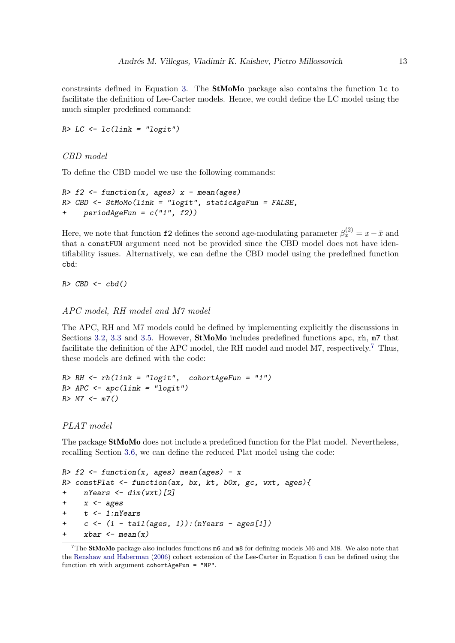constraints defined in Equation [3.](#page-5-5) The StMoMo package also contains the function lc to facilitate the definition of Lee-Carter models. Hence, we could define the LC model using the much simpler predefined command:

*R> LC <- lc(link = "logit")*

CBD model

To define the CBD model we use the following commands:

```
R> f2 <- function(x, ages) x - mean(ages)
R> CBD <- StMoMo(link = "logit", staticAgeFun = FALSE,
+ periodAgeFun = c("1", f2))
```
Here, we note that function f2 defines the second age-modulating parameter  $\beta_x^{(2)} = x - \bar{x}$  and that a constFUN argument need not be provided since the CBD model does not have identifiability issues. Alternatively, we can define the CBD model using the predefined function cbd:

*R> CBD <- cbd()*

### APC model, RH model and M7 model

The APC, RH and M7 models could be defined by implementing explicitly the discussions in Sections [3.2,](#page-5-6) [3.3](#page-6-3) and [3.5.](#page-8-3) However, StMoMo includes predefined functions apc, rh, m7 that facilitate the definition of the APC model, the RH model and model M7, respectively.[7](#page-12-0) Thus, these models are defined with the code:

```
R> RH <- rh(link = "logit", cohortAgeFun = "1")
R> APC <- apc(link = "logit")
R> M7 <- m7()
```
PLAT model

The package StMoMo does not include a predefined function for the Plat model. Nevertheless, recalling Section [3.6,](#page-8-4) we can define the reduced Plat model using the code:

```
R> f2 <- function(x, ages) mean(ages) - x
R> constPlat <- function(ax, bx, kt, b0x, gc, wxt, ages){
+ nYears <- dim(wxt)[2]
+ x <- ages
     + t <- 1:nYears
+ c <- (1 - tail(ages, 1)):(nYears - ages[1])
     xbar \leftarrow mean(x)
```
<span id="page-12-0"></span><sup>7</sup>The StMoMo package also includes functions m6 and m8 for defining models M6 and M8. We also note that the [Renshaw and Haberman](#page-37-5) [\(2006\)](#page-37-5) cohort extension of the Lee-Carter in Equation [5](#page-6-1) can be defined using the function rh with argument cohortAgeFun = "NP".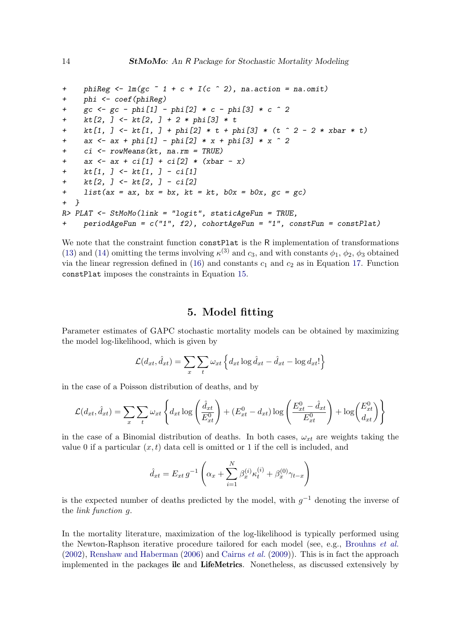```
+ phiReg <- lm(gc ~ 1 + c + I(c ^ 2), na.action = na.omit)
+ phi <- coef(phiReg)
    + gc <- gc - phi[1] - phi[2] * c - phi[3] * c ^ 2
    + kt[2, ] <- kt[2, ] + 2 * phi[3] * t
+ kt[1, ] <- kt[1, ] + phi[2] * t + phi[3] * (t ^ 2 - 2 * xbar * t)
+ ax <- ax + phi[1] - phi[2] * x + phi[3] * x ^ 2
+ ci <- rowMeans(kt, na.rm = TRUE)
+ ax <- ax + ci[1] + ci[2] * (xbar - x)
    + kt[1, ] <- kt[1, ] - ci[1]
+ kt[2, ] <- kt[2, ] - ci[2]
+ list(ax = ax, bx = bx, kt = kt, b0x = b0x, gc = gc)
+ }
R> PLAT <- StMoMo(link = "logit", staticAgeFun = TRUE,
+ periodAgeFun = c("1", f2), cohortAgeFun = "1", constFun = constPlat)
```
We note that the constraint function constraint is the R implementation of transformations [\(13\)](#page-9-0) and [\(14\)](#page-9-1) omitting the terms involving  $\kappa^{(3)}$  and  $c_3$ , and with constants  $\phi_1$ ,  $\phi_2$ ,  $\phi_3$  obtained via the linear regression defined in  $(16)$  and constants  $c_1$  and  $c_2$  as in Equation [17.](#page-9-5) Function constPlat imposes the constraints in Equation [15.](#page-9-6)

## 5. Model fitting

<span id="page-13-0"></span>Parameter estimates of GAPC stochastic mortality models can be obtained by maximizing the model log-likelihood, which is given by

$$
\mathcal{L}(d_{xt}, \hat{d}_{xt}) = \sum_{x} \sum_{t} \omega_{xt} \left\{ d_{xt} \log \hat{d}_{xt} - \hat{d}_{xt} - \log d_{xt}! \right\}
$$

in the case of a Poisson distribution of deaths, and by

$$
\mathcal{L}(d_{xt}, \hat{d}_{xt}) = \sum_{x} \sum_{t} \omega_{xt} \left\{ d_{xt} \log \left( \frac{\hat{d}_{xt}}{E_{xt}^0} \right) + (E_{xt}^0 - d_{xt}) \log \left( \frac{E_{xt}^0 - \hat{d}_{xt}}{E_{xt}^0} \right) + \log \left( \frac{E_{xt}^0}{d_{xt}} \right) \right\}
$$

in the case of a Binomial distribution of deaths. In both cases,  $\omega_{xt}$  are weights taking the value 0 if a particular  $(x, t)$  data cell is omitted or 1 if the cell is included, and

$$
\hat{d}_{xt} = E_{xt} g^{-1} \left( \alpha_x + \sum_{i=1}^{N} \beta_x^{(i)} \kappa_t^{(i)} + \beta_x^{(0)} \gamma_{t-x} \right)
$$

is the expected number of deaths predicted by the model, with  $g^{-1}$  denoting the inverse of the *link function* g.

In the mortality literature, maximization of the log-likelihood is typically performed using the Newton-Raphson iterative procedure tailored for each model (see, e.g., [Brouhns](#page-35-1) *et al.* [\(2002\)](#page-35-1), [Renshaw and Haberman](#page-37-5) [\(2006\)](#page-37-5) and [Cairns](#page-35-3) *et al.* [\(2009\)](#page-35-3)). This is in fact the approach implemented in the packages ilc and LifeMetrics. Nonetheless, as discussed extensively by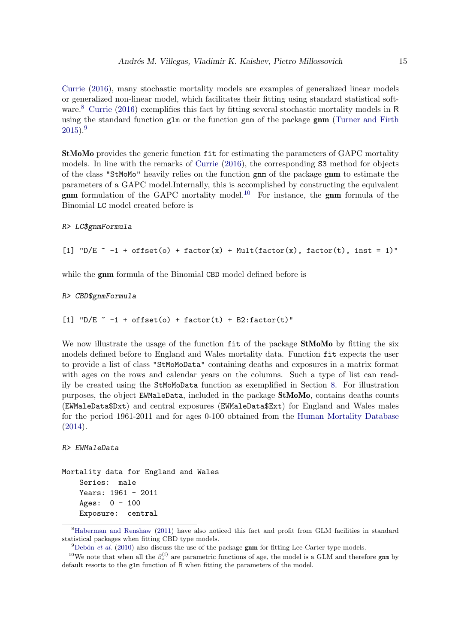[Currie](#page-36-1) [\(2016\)](#page-36-1), many stochastic mortality models are examples of generalized linear models or generalized non-linear model, which facilitates their fitting using standard statistical soft-ware.<sup>[8](#page-14-0)</sup> [Currie](#page-36-1) [\(2016\)](#page-36-1) exemplifies this fact by fitting several stochastic mortality models in R using the standard function  $g\ln$  or the function  $g\ln$  of the package  $g\ln$  [\(Turner and Firth](#page-38-1)  $2015$ ).<sup>[9](#page-14-1)</sup>

StMoMo provides the generic function fit for estimating the parameters of GAPC mortality models. In line with the remarks of [Currie](#page-36-1) [\(2016\)](#page-36-1), the corresponding S3 method for objects of the class "StMoMo" heavily relies on the function gnm of the package gnm to estimate the parameters of a GAPC model.Internally, this is accomplished by constructing the equivalent **gnm** formulation of the GAPC mortality model.<sup>[10](#page-14-2)</sup> For instance, the **gnm** formula of the Binomial LC model created before is

#### *R> LC\$gnmFormula*

```
[1] "D/E \sim -1 + offset(o) + factor(x) + Mult(factor(x), factor(t), inst = 1)"
```
while the **gnm** formula of the Binomial CBD model defined before is

```
R> CBD$gnmFormula
```

```
[1] "D/E \tilde{f} -1 + offset(o) + factor(t) + B2:factor(t)"
```
We now illustrate the usage of the function fit of the package **StMoMo** by fitting the six models defined before to England and Wales mortality data. Function fit expects the user to provide a list of class "StMoMoData" containing deaths and exposures in a matrix format with ages on the rows and calendar years on the columns. Such a type of list can readily be created using the StMoMoData function as exemplified in Section [8.](#page-29-0) For illustration purposes, the object EWMaleData, included in the package StMoMo, contains deaths counts (EWMaleData\$Dxt) and central exposures (EWMaleData\$Ext) for England and Wales males for the period 1961-2011 and for ages 0-100 obtained from the [Human Mortality Database](#page-36-7) [\(2014\)](#page-36-7).

#### *R> EWMaleData*

```
Mortality data for England and Wales
    Series: male
    Years: 1961 - 2011
    Ages: 0 - 100
    Exposure: central
```
<span id="page-14-0"></span><sup>8</sup>[Haberman and Renshaw](#page-36-4) [\(2011\)](#page-36-4) have also noticed this fact and profit from GLM facilities in standard statistical packages when fitting CBD type models.

<span id="page-14-2"></span><span id="page-14-1"></span> $9D$ ebón et al. [\(2010\)](#page-36-8) also discuss the use of the package gnm for fitting Lee-Carter type models.

<sup>&</sup>lt;sup>10</sup>We note that when all the  $\beta_x^{(i)}$  are parametric functions of age, the model is a GLM and therefore gnm by default resorts to the glm function of R when fitting the parameters of the model.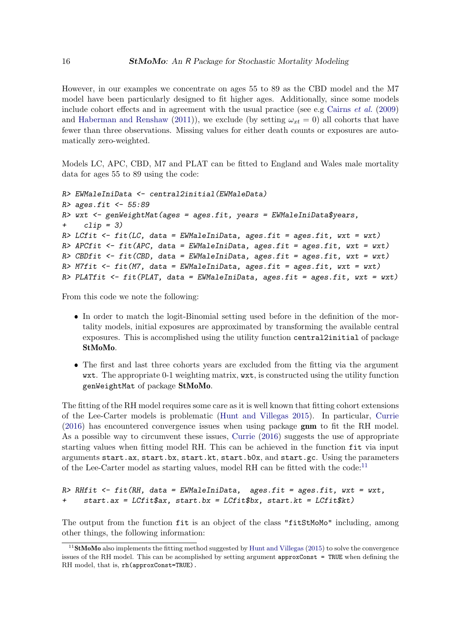However, in our examples we concentrate on ages 55 to 89 as the CBD model and the M7 model have been particularly designed to fit higher ages. Additionally, since some models include cohort effects and in agreement with the usual practice (see e.g [Cairns](#page-35-3) *et al.* [\(2009\)](#page-35-3) and [Haberman and Renshaw](#page-36-4) [\(2011\)](#page-36-4)), we exclude (by setting  $\omega_{xt} = 0$ ) all cohorts that have fewer than three observations. Missing values for either death counts or exposures are automatically zero-weighted.

Models LC, APC, CBD, M7 and PLAT can be fitted to England and Wales male mortality data for ages 55 to 89 using the code:

```
R> EWMaleIniData <- central2initial(EWMaleData)
R> ages.fit <- 55:89
R> wxt <- genWeightMat(ages = ages.fit, years = EWMaleIniData$years,
+ clip = 3)
R> LCfit <- fit(LC, data = EWMaleIniData, ages.fit = ages.fit, wxt = wxt)
R> APCfit <- fit(APC, data = EWMaleIniData, ages.fit = ages.fit, wxt = wxt)
R> CBDfit <- fit(CBD, data = EWMaleIniData, ages.fit = ages.fit, wxt = wxt)
R> M7fit <- fit(M7, data = EWMaleIniData, ages.fit = ages.fit, wxt = wxt)
R> PLATfit <- fit(PLAT, data = EWMaleIniData, ages.fit = ages.fit, wxt = wxt)
```
From this code we note the following:

- ❼ In order to match the logit-Binomial setting used before in the definition of the mortality models, initial exposures are approximated by transforming the available central exposures. This is accomplished using the utility function central2initial of package StMoMo.
- ❼ The first and last three cohorts years are excluded from the fitting via the argument wxt. The appropriate 0-1 weighting matrix, wxt, is constructed using the utility function genWeightMat of package StMoMo.

The fitting of the RH model requires some care as it is well known that fitting cohort extensions of the Lee-Carter models is problematic [\(Hunt and Villegas 2015\)](#page-36-9). In particular, [Currie](#page-36-1) [\(2016\)](#page-36-1) has encountered convergence issues when using package gnm to fit the RH model. As a possible way to circumvent these issues, [Currie](#page-36-1) [\(2016\)](#page-36-1) suggests the use of appropriate starting values when fitting model RH. This can be achieved in the function fit via input arguments start.ax, start.bx, start.kt, start.b0x, and start.gc. Using the parameters of the Lee-Carter model as starting values, model RH can be fitted with the code:<sup>[11](#page-15-0)</sup>

```
R> RHfit <- fit(RH, data = EWMaleIniData, ages.fit = ages.fit, wxt = wxt,
+ start.ax = LCfit$ax, start.bx = LCfit$bx, start.kt = LCfit$kt)
```
The output from the function fit is an object of the class "fitStMoMo" including, among other things, the following information:

<span id="page-15-0"></span><sup>&</sup>lt;sup>11</sup>StMoMo also implements the fitting method suggested by [Hunt and Villegas](#page-36-9) [\(2015\)](#page-36-9) to solve the convergence issues of the RH model. This can be acomplished by setting argument approxConst = TRUE when defining the RH model, that is, rh(approxConst=TRUE).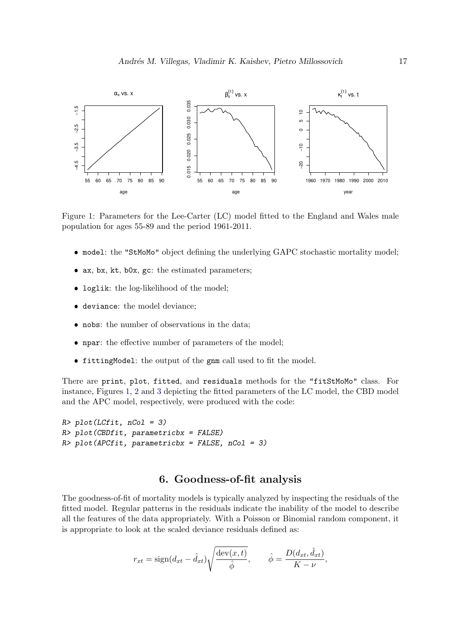

<span id="page-16-1"></span>Figure 1: Parameters for the Lee-Carter (LC) model fitted to the England and Wales male population for ages 55-89 and the period 1961-2011.

- model: the "StMoMo" object defining the underlying GAPC stochastic mortality model;
- ❼ ax, bx, kt, b0x, gc: the estimated parameters;
- loglik: the log-likelihood of the model;
- deviance: the model deviance;
- nobs: the number of observations in the data;
- ❼ npar: the effective number of parameters of the model;
- ❼ fittingModel: the output of the gnm call used to fit the model.

There are print, plot, fitted, and residuals methods for the "fitStMoMo" class. For instance, Figures [1,](#page-16-1) [2](#page-17-0) and [3](#page-17-1) depicting the fitted parameters of the LC model, the CBD model and the APC model, respectively, were produced with the code:

```
R> plot(LCfit, nCol = 3)
R> plot(CBDfit, parametricbx = FALSE)
R> plot(APCfit, parametricbx = FALSE, nCol = 3)
```
# 6. Goodness-of-fit analysis

<span id="page-16-0"></span>The goodness-of-fit of mortality models is typically analyzed by inspecting the residuals of the fitted model. Regular patterns in the residuals indicate the inability of the model to describe all the features of the data appropriately. With a Poisson or Binomial random component, it is appropriate to look at the scaled deviance residuals defined as:

$$
r_{xt} = sign(d_{xt} - \hat{d}_{xt}) \sqrt{\frac{dev(x,t)}{\hat{\phi}}}, \qquad \hat{\phi} = \frac{D(d_{xt}, \hat{d}_{xt})}{K - \nu},
$$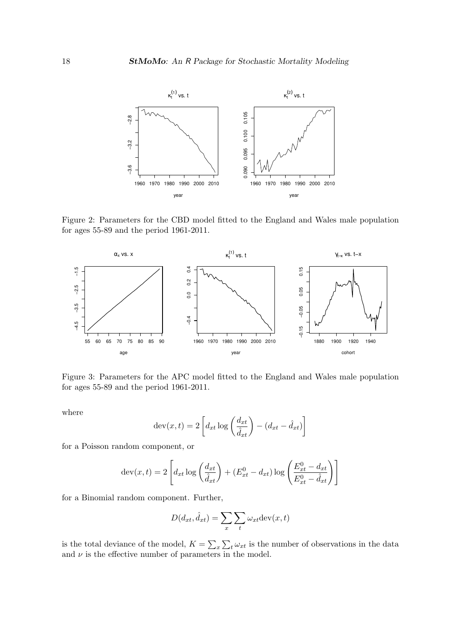

<span id="page-17-0"></span>Figure 2: Parameters for the CBD model fitted to the England and Wales male population for ages 55-89 and the period 1961-2011.



<span id="page-17-1"></span>Figure 3: Parameters for the APC model fitted to the England and Wales male population for ages 55-89 and the period 1961-2011.

where

$$
dev(x,t) = 2 \left[ d_{xt} \log \left( \frac{d_{xt}}{\hat{d}_{xt}} \right) - (d_{xt} - \hat{d}_{xt}) \right]
$$

for a Poisson random component, or

$$
\operatorname{dev}(x,t) = 2 \left[ d_{xt} \log \left( \frac{d_{xt}}{\hat{d}_{xt}} \right) + \left( E_{xt}^0 - d_{xt} \right) \log \left( \frac{E_{xt}^0 - d_{xt}}{E_{xt}^0 - \hat{d}_{xt}} \right) \right]
$$

for a Binomial random component. Further,

$$
D(d_{xt}, \hat{d}_{xt}) = \sum_{x} \sum_{t} \omega_{xt} \text{dev}(x, t)
$$

is the total deviance of the model,  $K = \sum_{x} \sum_{t} \omega_{xt}$  is the number of observations in the data and  $\nu$  is the effective number of parameters in the model.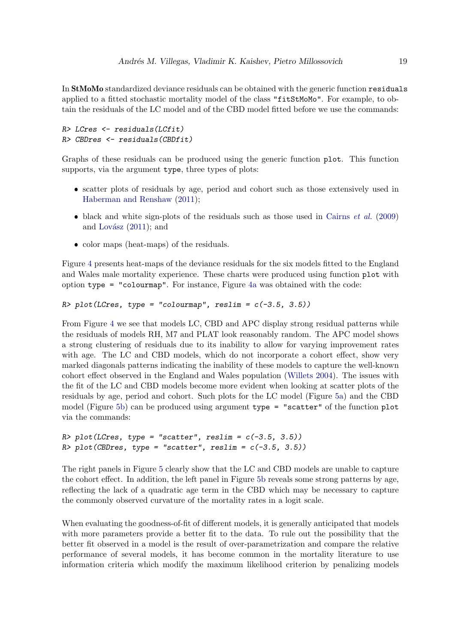In StMoMo standardized deviance residuals can be obtained with the generic function residuals applied to a fitted stochastic mortality model of the class "fitStMoMo". For example, to obtain the residuals of the LC model and of the CBD model fitted before we use the commands:

```
R> LCres <- residuals(LCfit)
R> CBDres <- residuals(CBDfit)
```
Graphs of these residuals can be produced using the generic function plot. This function supports, via the argument type, three types of plots:

- ❼ scatter plots of residuals by age, period and cohort such as those extensively used in [Haberman and Renshaw](#page-36-4) [\(2011\)](#page-36-4);
- ❼ black and white sign-plots of the residuals such as those used in [Cairns](#page-35-3) *et al.* [\(2009\)](#page-35-3) and Lovász  $(2011)$ ; and
- color maps (heat-maps) of the residuals.

Figure [4](#page-19-0) presents heat-maps of the deviance residuals for the six models fitted to the England and Wales male mortality experience. These charts were produced using function plot with option type = "colourmap". For instance, Figure [4a](#page-19-1) was obtained with the code:

```
R> plot(LCres, type = "colourmap", reslim = c(-3.5, 3.5))
```
From Figure [4](#page-19-0) we see that models LC, CBD and APC display strong residual patterns while the residuals of models RH, M7 and PLAT look reasonably random. The APC model shows a strong clustering of residuals due to its inability to allow for varying improvement rates with age. The LC and CBD models, which do not incorporate a cohort effect, show very marked diagonals patterns indicating the inability of these models to capture the well-known cohort effect observed in the England and Wales population [\(Willets 2004\)](#page-38-4). The issues with the fit of the LC and CBD models become more evident when looking at scatter plots of the residuals by age, period and cohort. Such plots for the LC model (Figure [5a\)](#page-20-0) and the CBD model (Figure [5b\)](#page-20-1) can be produced using argument type = "scatter" of the function plot via the commands:

```
R R> plot(LCres, type = "scatter", reslim = c(-3.5, 3.5))
R plot(CBDres, type = "scatter", reslim = c(-3.5, 3.5))
```
The right panels in Figure [5](#page-20-2) clearly show that the LC and CBD models are unable to capture the cohort effect. In addition, the left panel in Figure [5b](#page-20-1) reveals some strong patterns by age, reflecting the lack of a quadratic age term in the CBD which may be necessary to capture the commonly observed curvature of the mortality rates in a logit scale.

When evaluating the goodness-of-fit of different models, it is generally anticipated that models with more parameters provide a better fit to the data. To rule out the possibility that the better fit observed in a model is the result of over-parametrization and compare the relative performance of several models, it has become common in the mortality literature to use information criteria which modify the maximum likelihood criterion by penalizing models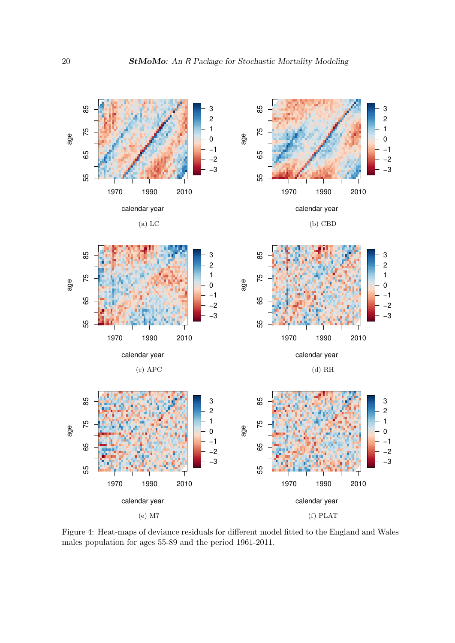<span id="page-19-1"></span>

<span id="page-19-0"></span>Figure 4: Heat-maps of deviance residuals for different model fitted to the England and Wales males population for ages 55-89 and the period 1961-2011.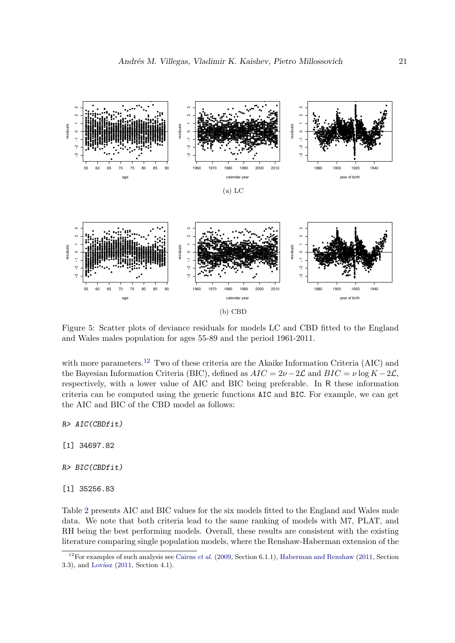<span id="page-20-0"></span>

<span id="page-20-2"></span><span id="page-20-1"></span>Figure 5: Scatter plots of deviance residuals for models LC and CBD fitted to the England and Wales males population for ages 55-89 and the period 1961-2011.

with more parameters.<sup>12</sup> Two of these criteria are the Akaike Information Criteria (AIC) and the Bayesian Information Criteria (BIC), defined as  $AIC = 2\nu - 2\mathcal{L}$  and  $BIC = \nu \log K - 2\mathcal{L}$ , respectively, with a lower value of AIC and BIC being preferable. In R these information criteria can be computed using the generic functions AIC and BIC. For example, we can get the AIC and BIC of the CBD model as follows:

 $R > AIC(CBDfit)$ 

[1] 34697.82

R> BIC(CBDfit)

 $[1]$  35256.83

Table 2 presents AIC and BIC values for the six models fitted to the England and Wales male data. We note that both criteria lead to the same ranking of models with M7, PLAT, and RH being the best performing models. Overall, these results are consistent with the existing literature comparing single population models, where the Renshaw-Haberman extension of the

<span id="page-20-3"></span><sup>&</sup>lt;sup>12</sup>For examples of such analysis see Cairns *et al.* (2009, Section 6.1.1), Haberman and Renshaw (2011, Section 3.3), and Lovász  $(2011, Section 4.1)$ .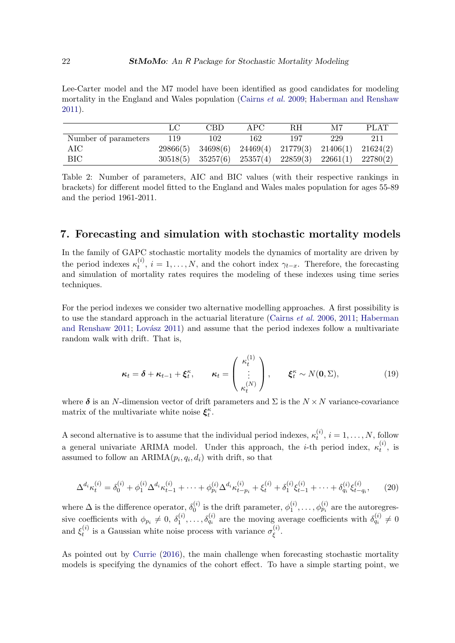Lee-Carter model and the M7 model have been identified as good candidates for modeling mortality in the England and Wales population [\(Cairns](#page-35-3) *et al.* [2009;](#page-35-3) [Haberman and Renshaw](#page-36-4) [2011\)](#page-36-4).

|                      | LC       | <b>CBD</b> | APC. | <b>RH</b>                                                         | M7  | PLAT |
|----------------------|----------|------------|------|-------------------------------------------------------------------|-----|------|
| Number of parameters | 119      | 102        | 162  | 197                                                               | 229 | 211  |
| AIC-                 | 29866(5) |            |      | $34698(6)$ $24469(4)$ $21779(3)$ $21406(1)$ $21624(2)$            |     |      |
| BIC.                 |          |            |      | $30518(5)$ $35257(6)$ $25357(4)$ $22859(3)$ $22661(1)$ $22780(2)$ |     |      |

<span id="page-21-1"></span>Table 2: Number of parameters, AIC and BIC values (with their respective rankings in brackets) for different model fitted to the England and Wales males population for ages 55-89 and the period 1961-2011.

# <span id="page-21-0"></span>7. Forecasting and simulation with stochastic mortality models

In the family of GAPC stochastic mortality models the dynamics of mortality are driven by the period indexes  $\kappa_t^{(i)}$  $t_i^{(i)}$ ,  $i = 1, \ldots, N$ , and the cohort index  $\gamma_{t-x}$ . Therefore, the forecasting and simulation of mortality rates requires the modeling of these indexes using time series techniques.

<span id="page-21-2"></span>For the period indexes we consider two alternative modelling approaches. A first possibility is to use the standard approach in the actuarial literature [\(Cairns](#page-35-2) *et al.* [2006,](#page-35-2) [2011;](#page-35-6) [Haberman](#page-36-4) and Renshaw  $2011$ ; Lovász  $2011$ ) and assume that the period indexes follow a multivariate random walk with drift. That is,

$$
\boldsymbol{\kappa}_t = \boldsymbol{\delta} + \boldsymbol{\kappa}_{t-1} + \boldsymbol{\xi}_t^{\kappa}, \qquad \boldsymbol{\kappa}_t = \begin{pmatrix} \kappa_t^{(1)} \\ \vdots \\ \kappa_t^{(N)} \end{pmatrix}, \qquad \boldsymbol{\xi}_t^{\kappa} \sim N(\mathbf{0}, \Sigma), \tag{19}
$$

where  $\delta$  is an N-dimension vector of drift parameters and  $\Sigma$  is the  $N \times N$  variance-covariance matrix of the multivariate white noise  $\xi_t^{\kappa}$ .

A second alternative is to assume that the individual period indexes,  $\kappa_t^{(i)}$  $t_i^{(i)}$ ,  $i = 1, \ldots, N$ , follow a general univariate ARIMA model. Under this approach, the *i*-th period index,  $\kappa_t^{(i)}$  $t^{(i)}$ , is assumed to follow an  $ARIMA(p_i, q_i, d_i)$  with drift, so that

<span id="page-21-3"></span>
$$
\Delta^{d_i} \kappa_t^{(i)} = \delta_0^{(i)} + \phi_1^{(i)} \Delta^{d_i} \kappa_{t-1}^{(i)} + \dots + \phi_{p_i}^{(i)} \Delta^{d_i} \kappa_{t-p_i}^{(i)} + \xi_t^{(i)} + \delta_1^{(i)} \xi_{t-1}^{(i)} + \dots + \delta_{q_i}^{(i)} \xi_{t-q_i}^{(i)},\tag{20}
$$

where  $\Delta$  is the difference operator,  $\delta_0^{(i)}$  $\phi_0^{(i)}$  is the drift parameter,  $\phi_1^{(i)}$  $\phi_1^{(i)}, \ldots, \phi_{p_i}^{(i)}$  are the autoregressive coefficients with  $\phi_{p_i} \neq 0, \delta_1^{(i)}$  $\lambda_1^{(i)}, \ldots, \delta_{q_i}^{(i)}$  are the moving average coefficients with  $\delta_{q_i}^{(i)} \neq 0$ and  $\xi_t^{(i)}$  $t_t^{(i)}$  is a Gaussian white noise process with variance  $\sigma_{\xi}^{(i)}$ ξ .

As pointed out by [Currie](#page-36-1) [\(2016\)](#page-36-1), the main challenge when forecasting stochastic mortality models is specifying the dynamics of the cohort effect. To have a simple starting point, we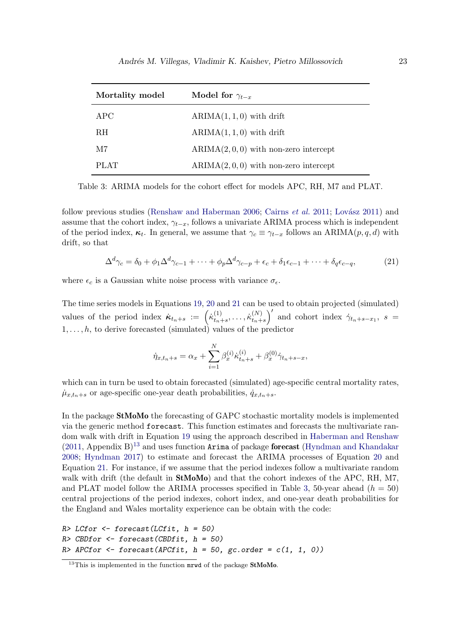| Mortality model | Model for $\gamma_{t-x}$               |
|-----------------|----------------------------------------|
| APC             | $ARIMA(1,1,0)$ with drift              |
| R.H             | $ARIMA(1,1,0)$ with drift              |
| M7              | $ARIMA(2,0,0)$ with non-zero intercept |
| PLAT            | $ARIMA(2,0,0)$ with non-zero intercept |

<span id="page-22-2"></span>Table 3: ARIMA models for the cohort effect for models APC, RH, M7 and PLAT.

follow previous studies [\(Renshaw and Haberman 2006;](#page-37-5) [Cairns](#page-35-6) *et al.* [2011;](#page-35-6) Lovász 2011) and assume that the cohort index,  $\gamma_{t-x}$ , follows a univariate ARIMA process which is independent of the period index,  $\kappa_t$ . In general, we assume that  $\gamma_c \equiv \gamma_{t-x}$  follows an ARIMA( $p, q, d$ ) with drift, so that

<span id="page-22-0"></span>
$$
\Delta^d \gamma_c = \delta_0 + \phi_1 \Delta^d \gamma_{c-1} + \dots + \phi_p \Delta^d \gamma_{c-p} + \epsilon_c + \delta_1 \epsilon_{c-1} + \dots + \delta_q \epsilon_{c-q},\tag{21}
$$

where  $\epsilon_c$  is a Gaussian white noise process with variance  $\sigma_{\epsilon}$ .

The time series models in Equations [19,](#page-21-2) [20](#page-21-3) and [21](#page-22-0) can be used to obtain projected (simulated) values of the period index  $\dot{\kappa}_{t_n+s} := \begin{pmatrix} \dot{\kappa}_{t_n}^{(1)} & \dot{\kappa}_{t_n+s}^{(1)} \end{pmatrix}$  $\hat{t}_{n+3}^{(1)}, \ldots, \hat{\kappa}_{t_n+1}^{(N)}$  $\binom{N}{t_n+s}$  and cohort index  $\dot{\gamma}_{t_n+s-x_1}, s =$  $1, \ldots, h$ , to derive forecasted (simulated) values of the predictor

$$
\dot{\eta}_{x,t_n+s} = \alpha_x + \sum_{i=1}^N \beta_x^{(i)} \dot{\kappa}_{t_n+s}^{(i)} + \beta_x^{(0)} \dot{\gamma}_{t_n+s-x},
$$

which can in turn be used to obtain forecasted (simulated) age-specific central mortality rates,  $\dot{\mu}_{x,t_n+s}$  or age-specific one-year death probabilities,  $\dot{q}_{x,t_n+s}.$ 

In the package StMoMo the forecasting of GAPC stochastic mortality models is implemented via the generic method forecast. This function estimates and forecasts the multivariate random walk with drift in Equation [19](#page-21-2) using the approach described in [Haberman and Renshaw](#page-36-4)  $(2011,$  Appendix B)<sup>[13](#page-22-1)</sup> and uses function Arima of package forecast [\(Hyndman and Khandakar](#page-36-10) [2008;](#page-36-10) [Hyndman 2017\)](#page-36-11) to estimate and forecast the ARIMA processes of Equation [20](#page-21-3) and Equation [21.](#page-22-0) For instance, if we assume that the period indexes follow a multivariate random walk with drift (the default in **StMoMo**) and that the cohort indexes of the APC, RH, M7, and PLAT model follow the ARIMA processes specified in Table [3,](#page-22-2) 50-year ahead  $(h = 50)$ central projections of the period indexes, cohort index, and one-year death probabilities for the England and Wales mortality experience can be obtain with the code:

```
R> LCfor <- forecast(LCfit, h = 50)
R> CBDfor <- forecast(CBDfit, h = 50)
R APCfor \leq forecast(APCfit, h = 50, gc.order = c(1, 1, 0))
```
<span id="page-22-1"></span><sup>&</sup>lt;sup>13</sup>This is implemented in the function  $mrvd$  of the package **StMoMo**.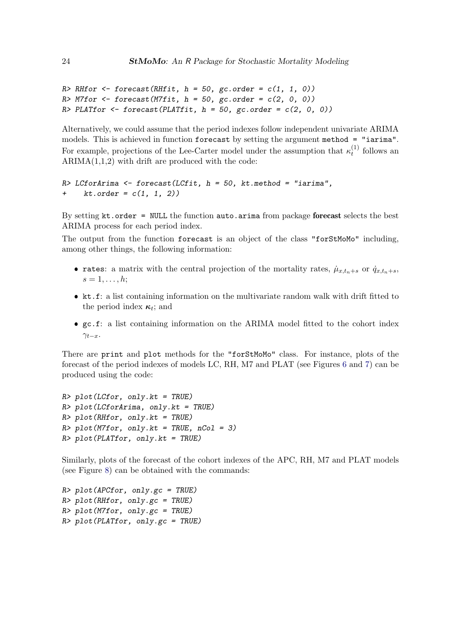```
R> RHfor <- forecast(RHfit, h = 50, gc.order = c(1, 1, 0))
R> M7for <- forecast(M7fit, h = 50, gc.order = c(2, 0, 0))
R> PLATfor \leq forecast(PLATfit, h = 50, gc.order = c(2, 0, 0))
```
Alternatively, we could assume that the period indexes follow independent univariate ARIMA models. This is achieved in function forecast by setting the argument method = "iarima". For example, projections of the Lee-Carter model under the assumption that  $\kappa_t^{(1)}$  $t^{(1)}$  follows an  $ARIMA(1,1,2)$  with drift are produced with the code:

```
R> LCforArima <- forecast(LCfit, h = 50, kt.method = "iarima",
+ kt.order = c(1, 1, 2))
```
By setting  $kt.\norder = NULL$  the function auto.arima from package forecast selects the best ARIMA process for each period index.

The output from the function forecast is an object of the class "forStMoMo" including, among other things, the following information:

- rates: a matrix with the central projection of the mortality rates,  $\dot{\mu}_{x,t_n+s}$  or  $\dot{q}_{x,t_n+s}$ ,  $s=1,\ldots,h;$
- ❼ kt.f: a list containing information on the multivariate random walk with drift fitted to the period index  $\kappa_t$ ; and
- ❼ gc.f: a list containing information on the ARIMA model fitted to the cohort index  $\gamma_{t-x}$ .

There are print and plot methods for the "forStMoMo" class. For instance, plots of the forecast of the period indexes of models LC, RH, M7 and PLAT (see Figures [6](#page-24-0) and [7\)](#page-25-0) can be produced using the code:

```
R> plot(LCfor, only.kt = TRUE)
R> plot(LCforArima, only.kt = TRUE)
R> plot(RHfor, only.kt = TRUE)
R> plot(M7for, only.kt = TRUE, nCol = 3)
R> plot(PLATfor, only.kt = TRUE)
```
Similarly, plots of the forecast of the cohort indexes of the APC, RH, M7 and PLAT models (see Figure [8\)](#page-26-0) can be obtained with the commands:

*R> plot(APCfor, only.gc = TRUE) R> plot(RHfor, only.gc = TRUE) R> plot(M7for, only.gc = TRUE) R> plot(PLATfor, only.gc = TRUE)*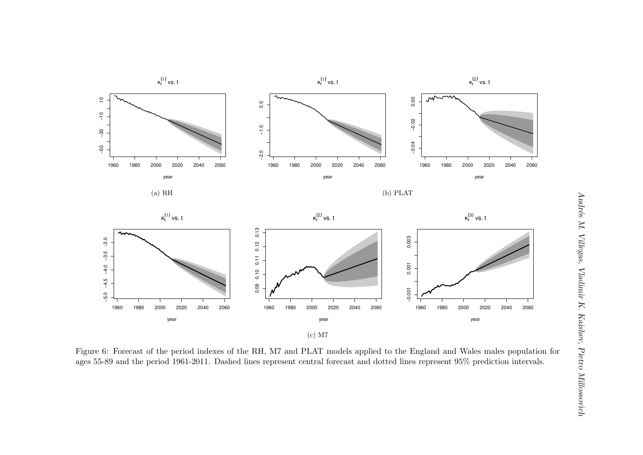

<span id="page-24-0"></span>Figure 6: Forecast of the period indexes of the RH, M7 and PLAT models applied to the England and Wales males population for ages 55-89 and the period 1961-2011. Dashed lines represent central forecast and dotted lines represent 95% prediction intervals.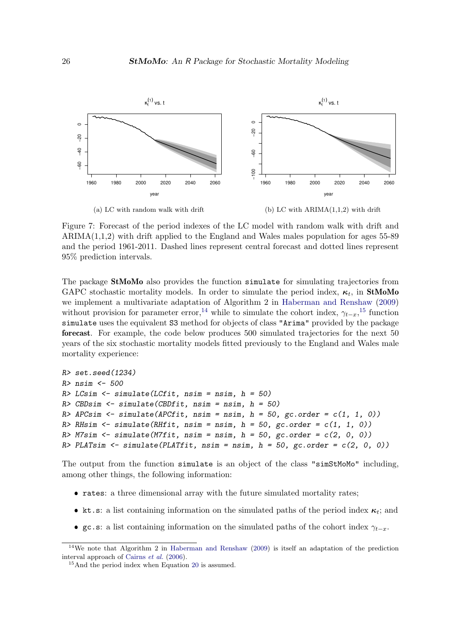

<span id="page-25-0"></span>Figure 7: Forecast of the period indexes of the LC model with random walk with drift and  $ARIMA(1,1,2)$  with drift applied to the England and Wales males population for ages 55-89 and the period 1961-2011. Dashed lines represent central forecast and dotted lines represent 95% prediction intervals.

The package StMoMo also provides the function simulate for simulating trajectories from GAPC stochastic mortality models. In order to simulate the period index,  $\kappa_t$ , in StMoMo we implement a multivariate adaptation of Algorithm 2 in [Haberman and Renshaw](#page-36-12) [\(2009\)](#page-36-12) without provision for parameter error,<sup>[14](#page-25-1)</sup> while to simulate the cohort index,  $\gamma_{t-x}$ ,<sup>[15](#page-25-2)</sup> function simulate uses the equivalent S3 method for objects of class "Arima" provided by the package forecast. For example, the code below produces 500 simulated trajectories for the next 50 years of the six stochastic mortality models fitted previously to the England and Wales male mortality experience:

```
R> set.seed(1234)
R> nsim <- 500
R> LCsim <- simulate(LCfit, nsim = nsim, h = 50)
R> CBDsim <- simulate(CBDfit, nsim = nsim, h = 50)
R> APCsim <- simulate(APCfit, nsim = nsim, h = 50, gc.order = c(1, 1, 0))
R> RHsim <- simulate(RHfit, nsim = nsim, h = 50, gc.order = c(1, 1, 0))
R> M7sim <- simulate(M7fit, nsim = nsim, h = 50, gc.order = c(2, 0, 0))
R> PLATsim <- simulate(PLATfit, nsim = nsim, h = 50, gc.order = c(2, 0, 0))
```
The output from the function simulate is an object of the class "simStMoMo" including, among other things, the following information:

- ❼ rates: a three dimensional array with the future simulated mortality rates;
- kt.s: a list containing information on the simulated paths of the period index  $\kappa_t$ ; and
- gc.s: a list containing information on the simulated paths of the cohort index  $\gamma_{t-x}$ .

<span id="page-25-1"></span><sup>&</sup>lt;sup>14</sup>We note that Algorithm 2 in [Haberman and Renshaw](#page-36-12) [\(2009\)](#page-36-12) is itself an adaptation of the prediction interval approach of [Cairns](#page-35-2) et al. [\(2006\)](#page-35-2).

<span id="page-25-2"></span><sup>15</sup>And the period index when Equation [20](#page-21-3) is assumed.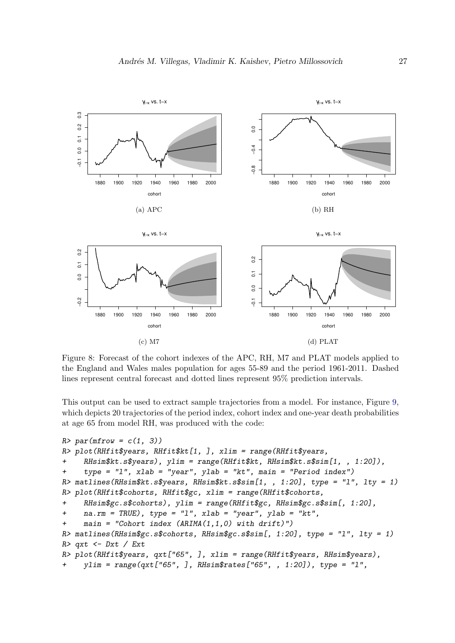

<span id="page-26-1"></span><span id="page-26-0"></span>Figure 8: Forecast of the cohort indexes of the APC, RH, M7 and PLAT models applied to the England and Wales males population for ages 55-89 and the period 1961-2011. Dashed lines represent central forecast and dotted lines represent 95% prediction intervals.

This output can be used to extract sample trajectories from a model. For instance, Figure [9,](#page-27-0) which depicts 20 trajectories of the period index, cohort index and one-year death probabilities at age 65 from model RH, was produced with the code:

```
R> par(mfrow = c(1, 3))
R> plot(RHfit$years, RHfit$kt[1, ], xlim = range(RHfit$years,
+ RHsim$kt.s$years), ylim = range(RHfit$kt, RHsim$kt.s$sim[1, , 1:20]),
+ type = "l", xlab = "year", ylab = "kt", main = "Period index")
R> matlines(RHsim$kt.s$years, RHsim$kt.s$sim[1, , 1:20], type = "l", lty = 1)
R> plot(RHfit$cohorts, RHfit$gc, xlim = range(RHfit$cohorts,
+ RHsim$gc.s$cohorts), ylim = range(RHfit$gc, RHsim$gc.s$sim[, 1:20],
    + na.rm = TRUE), type = "l", xlab = "year", ylab = "kt",
+ main = "Cohort index (ARIMA(1,1,0) with drift)")
R> matlines(RHsim$gc.s$cohorts, RHsim$gc.s$sim[, 1:20], type = "l", lty = 1)
R> qxt <- Dxt / Ext
R> plot(RHfit$years, qxt["65", ], xlim = range(RHfit$years, RHsim$years),
    + ylim = range(qxt["65", ], RHsim$rates["65", , 1:20]), type = "l",
```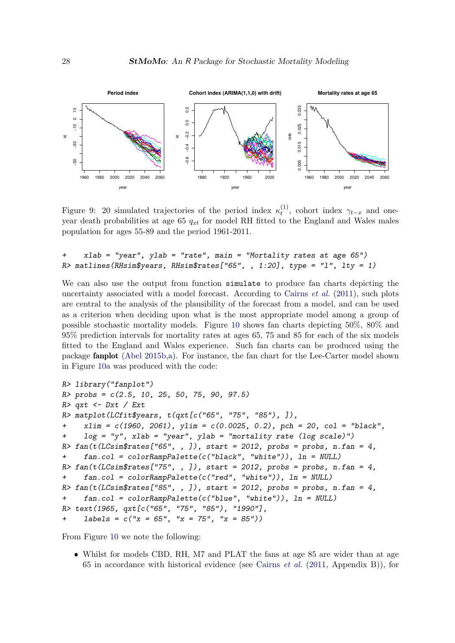

<span id="page-27-0"></span>Figure 9: 20 simulated trajectories of the period index  $\kappa_t^{(1)}$  $t_t^{(1)}$ , cohort index  $\gamma_{t-x}$  and oneyear death probabilities at age 65  $q_{xt}$  for model RH fitted to the England and Wales males population for ages 55-89 and the period 1961-2011.

```
+ xlab = "year", ylab = "rate", main = "Mortality rates at age 65")
R> matlines(RHsim$years, RHsim$rates["65", , 1:20], type = "l", lty = 1)
```
We can also use the output from function simulate to produce fan charts depicting the uncertainty associated with a model forecast. According to [Cairns](#page-35-6) *et al.* [\(2011\)](#page-35-6), such plots are central to the analysis of the plausibility of the forecast from a model, and can be used as a criterion when deciding upon what is the most appropriate model among a group of possible stochastic mortality models. Figure [10](#page-28-0) shows fan charts depicting 50%, 80% and 95% prediction intervals for mortality rates at ages 65, 75 and 85 for each of the six models fitted to the England and Wales experience. Such fan charts can be produced using the package fanplot [\(Abel 2015b](#page-35-13)[,a\)](#page-34-0). For instance, the fan chart for the Lee-Carter model shown in Figure [10a](#page-28-1) was produced with the code:

```
R> library("fanplot")
R> probs = c(2.5, 10, 25, 50, 75, 90, 97.5)
R> qxt <- Dxt / Ext
R> matplot(LCfit$years, t(qxt[c("65", "75", "85"), ]),
+ xlim = c(1960, 2061), ylim = c(0.0025, 0.2), pch = 20, col = "black",
+ log = "y", xlab = "year", ylab = "mortality rate (log scale)")
R> fan(t(LCsim$rates["65", , ]), start = 2012, probs = probs, n.fan = 4,
    + fan.col = colorRampPalette(c("black", "white")), ln = NULL)
R> fan(t(LCsim$rates["75", , ]), start = 2012, probs = probs, n.fan = 4,
+ fan.col = colorRampPalette(c("red", "white")), ln = NULL)
R> fan(t(LCsim$rates["85", , ]), start = 2012, probs = probs, n.fan = 4,
+ fan.col = colorRampPalette(c("blue", "white")), ln = NULL)
R> text(1965, qxt[c("65", "75", "85"), "1990"],
+ labels = c("x = 65", "x = 75", "x = 85"))
```
From Figure [10](#page-28-0) we note the following:

❼ Whilst for models CBD, RH, M7 and PLAT the fans at age 85 are wider than at age 65 in accordance with historical evidence (see [Cairns](#page-35-6) *et al.* [\(2011,](#page-35-6) Appendix B)), for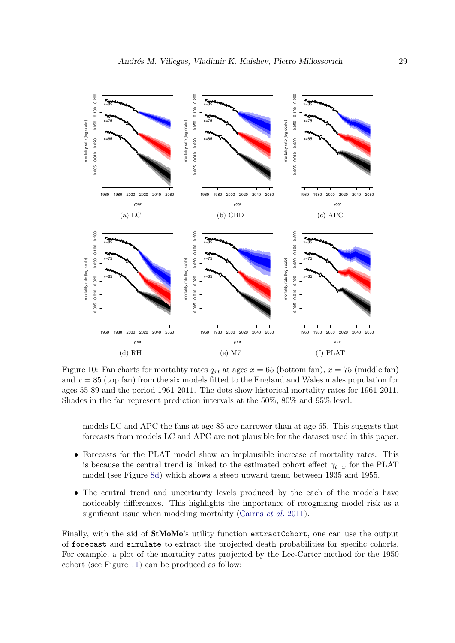<span id="page-28-1"></span>

<span id="page-28-0"></span>Figure 10: Fan charts for mortality rates  $q_{xt}$  at ages  $x = 65$  (bottom fan),  $x = 75$  (middle fan) and  $x = 85$  (top fan) from the six models fitted to the England and Wales males population for ages 55-89 and the period 1961-2011. The dots show historical mortality rates for 1961-2011. Shades in the fan represent prediction intervals at the 50%, 80% and 95% level.

models LC and APC the fans at age 85 are narrower than at age 65. This suggests that forecasts from models LC and APC are not plausible for the dataset used in this paper.

- ❼ Forecasts for the PLAT model show an implausible increase of mortality rates. This is because the central trend is linked to the estimated cohort effect  $\gamma_{t-x}$  for the PLAT model (see Figure [8d\)](#page-26-1) which shows a steep upward trend between 1935 and 1955.
- ❼ The central trend and uncertainty levels produced by the each of the models have noticeably differences. This highlights the importance of recognizing model risk as a significant issue when modeling mortality [\(Cairns](#page-35-6) *et al.* [2011\)](#page-35-6).

Finally, with the aid of StMoMo's utility function extractCohort, one can use the output of forecast and simulate to extract the projected death probabilities for specific cohorts. For example, a plot of the mortality rates projected by the Lee-Carter method for the 1950 cohort (see Figure [11\)](#page-29-1) can be produced as follow: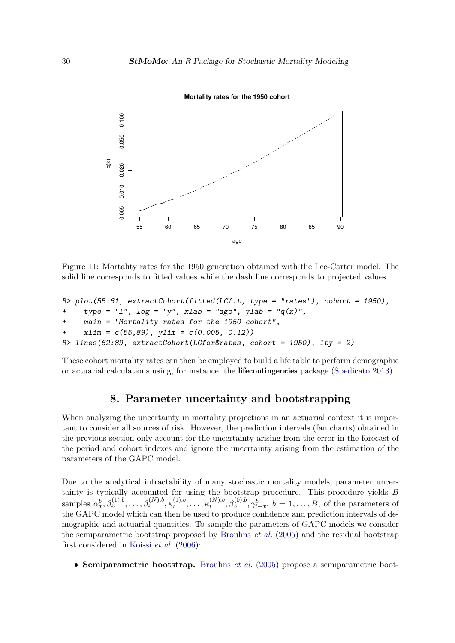

<span id="page-29-1"></span>Figure 11: Mortality rates for the 1950 generation obtained with the Lee-Carter model. The solid line corresponds to fitted values while the dash line corresponds to projected values.

```
R> plot(55:61, extractCohort(fitted(LCfit, type = "rates"), cohort = 1950),
     type = "1", log = "y", xlab = "age", ylab = "q(x)",+ main = "Mortality rates for the 1950 cohort",
    + xlim = c(55,89), ylim = c(0.005, 0.12))
R> lines(62:89, extractCohort(LCfor$rates, cohort = 1950), lty = 2)
```
These cohort mortality rates can then be employed to build a life table to perform demographic or actuarial calculations using, for instance, the lifecontingencies package [\(Spedicato 2013\)](#page-37-13).

## 8. Parameter uncertainty and bootstrapping

<span id="page-29-0"></span>When analyzing the uncertainty in mortality projections in an actuarial context it is important to consider all sources of risk. However, the prediction intervals (fan charts) obtained in the previous section only account for the uncertainty arising from the error in the forecast of the period and cohort indexes and ignore the uncertainty arising from the estimation of the parameters of the GAPC model.

Due to the analytical intractability of many stochastic mortality models, parameter uncertainty is typically accounted for using the bootstrap procedure. This procedure yields B samples  $\alpha_x^{b}, \beta_x^{(1),b}, \ldots, \beta_x^{(N),b}, \kappa_t^{(1),b}$  $\kappa_t^{(1),b},\ldots,\kappa_t^{(N),b}$  $t^{(N),b}_{t}, \beta_x^{(0),b}, \gamma_{t-x}^b, b = 1, \ldots, B$ , of the parameters of the GAPC model which can then be used to produce confidence and prediction intervals of demographic and actuarial quantities. To sample the parameters of GAPC models we consider the semiparametric bootstrap proposed by [Brouhns](#page-35-14) *et al.* [\(2005\)](#page-35-14) and the residual bootstrap first considered in [Koissi](#page-37-14) *et al.* [\(2006\)](#page-37-14):

❼ Semiparametric bootstrap. [Brouhns](#page-35-14) *et al.* [\(2005\)](#page-35-14) propose a semiparametric boot-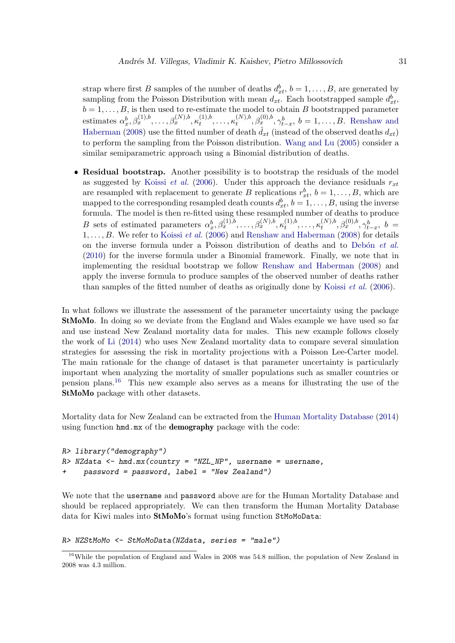strap where first B samples of the number of deaths  $d_{xt}^b$ ,  $b = 1, \ldots, B$ , are generated by sampling from the Poisson Distribution with mean  $d_{xt}$ . Each bootstrapped sample  $d_{xt}^b$ ,  $b = 1, \ldots, B$ , is then used to re-estimate the model to obtain B bootstrapped parameter  $\text{estimates}~\alpha_x^b,\beta_x^{(1),b},\ldots,\beta_x^{(N),b},\kappa_t^{(1),b}$  $\kappa_t^{(1),b},\ldots,\kappa_t^{(N),b}$  $t^{(N),b}_{t}, \beta_{x}^{(0),b}, \gamma_{t-x}^{b}, b = 1, \ldots, B$ . [Renshaw and](#page-37-15) [Haberman](#page-37-15) [\(2008\)](#page-37-15) use the fitted number of death  $\hat{d}_{xt}$  (instead of the observed deaths  $d_{xt}$ ) to perform the sampling from the Poisson distribution. [Wang and Lu](#page-38-5) [\(2005\)](#page-38-5) consider a similar semiparametric approach using a Binomial distribution of deaths.

❼ Residual bootstrap. Another possibility is to bootstrap the residuals of the model as suggested by [Koissi](#page-37-14)  $et \ al.$  [\(2006\)](#page-37-14). Under this approach the deviance residuals  $r_{xt}$ are resampled with replacement to generate B replications  $r_{xt}^b$ ,  $b = 1, \ldots, B$ , which are mapped to the corresponding resampled death counts  $d_{xt}^b$ ,  $b = 1, \ldots, B$ , using the inverse formula. The model is then re-fitted using these resampled number of deaths to produce B sets of estimated parameters  $\alpha_x^b, \beta_x^{(1),b}, \ldots, \beta_x^{(N),b}, \kappa_t^{(1),b}$  $\kappa_t^{(1),b},\ldots,\kappa_t^{(N),b}$  $\hat{\gamma}^{(N),b}_{t},\beta^{(0),b}_{x},\gamma^{b}_{t-x},\ b=$ 1, . . . , B. We refer to [Koissi](#page-37-14) *et al.* [\(2006\)](#page-37-14) and [Renshaw and Haberman](#page-37-15) [\(2008\)](#page-37-15) for details on the inverse formula under a Poisson distribution of deaths and to Debon *et al.* [\(2010\)](#page-36-8) for the inverse formula under a Binomial framework. Finally, we note that in implementing the residual bootstrap we follow [Renshaw and Haberman](#page-37-15) [\(2008\)](#page-37-15) and apply the inverse formula to produce samples of the observed number of deaths rather than samples of the fitted number of deaths as originally done by [Koissi](#page-37-14) *et al.* [\(2006\)](#page-37-14).

In what follows we illustrate the assessment of the parameter uncertainty using the package StMoMo. In doing so we deviate from the England and Wales example we have used so far and use instead New Zealand mortality data for males. This new example follows closely the work of [Li](#page-37-16) [\(2014\)](#page-37-16) who uses New Zealand mortality data to compare several simulation strategies for assessing the risk in mortality projections with a Poisson Lee-Carter model. The main rationale for the change of dataset is that parameter uncertainty is particularly important when analyzing the mortality of smaller populations such as smaller countries or pension plans.[16](#page-30-0) This new example also serves as a means for illustrating the use of the StMoMo package with other datasets.

Mortality data for New Zealand can be extracted from the [Human Mortality Database](#page-36-7) [\(2014\)](#page-36-7) using function hmd.mx of the demography package with the code:

```
R> library("demography")
R> NZdata <- hmd.mx(country = "NZL_NP", username = username,
+ password = password, label = "New Zealand")
```
We note that the username and password above are for the Human Mortality Database and should be replaced appropriately. We can then transform the Human Mortality Database data for Kiwi males into StMoMo's format using function StMoMoData:

*R> NZStMoMo <- StMoMoData(NZdata, series = "male")*

<span id="page-30-0"></span><sup>16</sup>While the population of England and Wales in 2008 was 54.8 million, the population of New Zealand in 2008 was 4.3 million.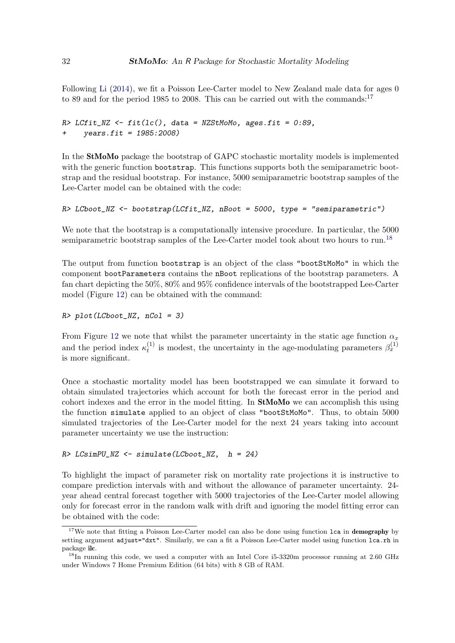Following [Li](#page-37-16) [\(2014\)](#page-37-16), we fit a Poisson Lee-Carter model to New Zealand male data for ages 0 to 89 and for the period 1985 to 2008. This can be carried out with the commands:<sup>[17](#page-31-0)</sup>

```
R> LCfit_NZ <- fit(lc(), data = NZStMoMo, ages.fit = 0:89,
+ years.fit = 1985:2008)
```
In the StMoMo package the bootstrap of GAPC stochastic mortality models is implemented with the generic function bootstrap. This functions supports both the semiparametric bootstrap and the residual bootstrap. For instance, 5000 semiparametric bootstrap samples of the Lee-Carter model can be obtained with the code:

```
R> LCboot_NZ <- bootstrap(LCfit_NZ, nBoot = 5000, type = "semiparametric")
```
We note that the bootstrap is a computationally intensive procedure. In particular, the 5000 semiparametric bootstrap samples of the Lee-Carter model took about two hours to run.<sup>[18](#page-31-1)</sup>

The output from function bootstrap is an object of the class "bootStMoMo" in which the component bootParameters contains the nBoot replications of the bootstrap parameters. A fan chart depicting the 50%, 80% and 95% confidence intervals of the bootstrapped Lee-Carter model (Figure [12\)](#page-32-0) can be obtained with the command:

```
R> plot(LCboot_NZ, nCol = 3)
```
From Figure [12](#page-32-0) we note that whilst the parameter uncertainty in the static age function  $\alpha_x$ and the period index  $\kappa_t^{(1)}$ <sup>(1)</sup> is modest, the uncertainty in the age-modulating parameters  $\beta_x^{(1)}$ is more significant.

Once a stochastic mortality model has been bootstrapped we can simulate it forward to obtain simulated trajectories which account for both the forecast error in the period and cohort indexes and the error in the model fitting. In StMoMo we can accomplish this using the function simulate applied to an object of class "bootStMoMo". Thus, to obtain 5000 simulated trajectories of the Lee-Carter model for the next 24 years taking into account parameter uncertainty we use the instruction:

```
R> LCsimPU_NZ <- simulate(LCboot_NZ, h = 24)
```
To highlight the impact of parameter risk on mortality rate projections it is instructive to compare prediction intervals with and without the allowance of parameter uncertainty. 24 year ahead central forecast together with 5000 trajectories of the Lee-Carter model allowing only for forecast error in the random walk with drift and ignoring the model fitting error can be obtained with the code:

<span id="page-31-0"></span><sup>&</sup>lt;sup>17</sup>We note that fitting a Poisson Lee-Carter model can also be done using function  $lca$  in demography by setting argument adjust="dxt". Similarly, we can a fit a Poisson Lee-Carter model using function lca.rh in package ilc.

<span id="page-31-1"></span><sup>&</sup>lt;sup>18</sup>In running this code, we used a computer with an Intel Core i5-3320m processor running at 2.60 GHz under Windows 7 Home Premium Edition (64 bits) with 8 GB of RAM.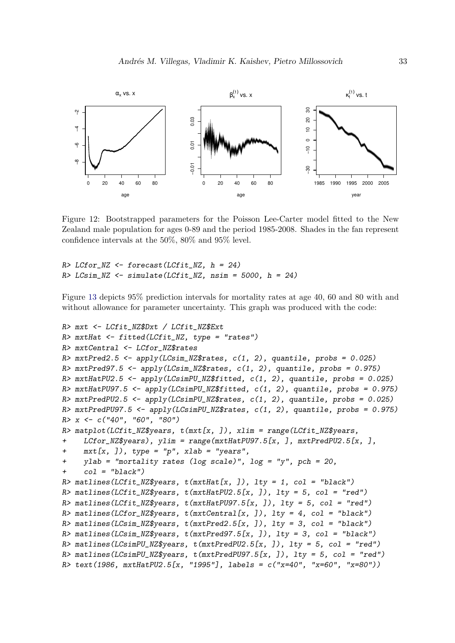

<span id="page-32-0"></span>Figure 12: Bootstrapped parameters for the Poisson Lee-Carter model fitted to the New Zealand male population for ages 0-89 and the period 1985-2008. Shades in the fan represent confidence intervals at the 50%, 80% and 95% level.

```
R> LCfor_NZ <- forecast(LCfit_NZ, h = 24)
R> LCsim_NZ <- simulate(LCfit_NZ, nsim = 5000, h = 24)
```
Figure [13](#page-33-1) depicts 95% prediction intervals for mortality rates at age 40, 60 and 80 with and without allowance for parameter uncertainty. This graph was produced with the code:

```
R> mxt <- LCfit_NZ$Dxt / LCfit_NZ$Ext
R> mxtHat <- fitted(LCfit_NZ, type = "rates")
R> mxtCentral <- LCfor_NZ$rates
R> mxtPred2.5 <- apply(LCsim_NZ$rates, c(1, 2), quantile, probs = 0.025)
R> mxtPred97.5 <- apply(LCsim_NZ$rates, c(1, 2), quantile, probs = 0.975)
R> mxtHatPU2.5 <- apply(LCsimPU_NZ$fitted, c(1, 2), quantile, probs = 0.025)
R> mxtHatPU97.5 <- apply(LCsimPU_NZ$fitted, c(1, 2), quantile, probs = 0.975)
R> mxtPredPU2.5 <- apply(LCsimPU_NZ$rates, c(1, 2), quantile, probs = 0.025)
R> mxtPredPU97.5 <- apply(LCsimPU_NZ$rates, c(1, 2), quantile, probs = 0.975)
R> x <- c("40", "60", "80")
R> matplot(LCfit_NZ$years, t(mxt[x, ]), xlim = range(LCfit_NZ$years,
+ LCfor_NZ$years), ylim = range(mxtHatPU97.5[x, ], mxtPredPU2.5[x, ],
+ mxt[x, ]), type = "p", xlab = "years",
+ ylab = "mortality rates (log scale)", log = "y", pch = 20,
+ col = "black")
R> matlines(LCfit_NZ$years, t(mxtHat[x, ]), lty = 1, col = "black")
R> matlines(LCfit_NZ$years, t(mxtHatPU2.5[x, ]), lty = 5, col = "red")
R> matlines(LCfit_NZ$years, t(mxtHatPU97.5[x, ]), lty = 5, col = "red")
R> matlines(LCfor_NZ$years, t(mxtCentral[x, ]), lty = 4, col = "black")
R> matlines(LCsim_NZ$years, t(mxtPred2.5[x, ]), lty = 3, col = "black")
R> matlines(LCsim_NZ$years, t(mxtPred97.5[x, ]), lty = 3, col = "black")
R> matlines(LCsimPU_NZ$years, t(mxtPredPU2.5[x, ]), lty = 5, col = "red")
R> matlines(LCsimPU_NZ$years, t(mxtPredPU97.5[x, ]), lty = 5, col = "red")
R> text(1986, mxtHatPU2.5[x, "1995"], labels = c("x=40", "x=60", "x=80"))
```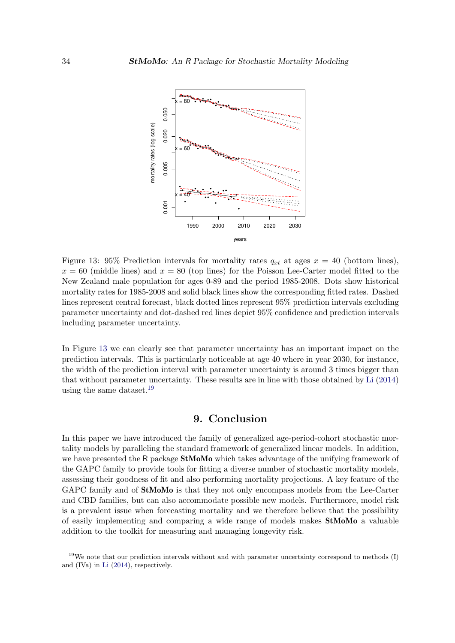

<span id="page-33-1"></span>Figure 13: 95% Prediction intervals for mortality rates  $q_{xt}$  at ages  $x = 40$  (bottom lines),  $x = 60$  (middle lines) and  $x = 80$  (top lines) for the Poisson Lee-Carter model fitted to the New Zealand male population for ages 0-89 and the period 1985-2008. Dots show historical mortality rates for 1985-2008 and solid black lines show the corresponding fitted rates. Dashed lines represent central forecast, black dotted lines represent 95% prediction intervals excluding parameter uncertainty and dot-dashed red lines depict 95% confidence and prediction intervals including parameter uncertainty.

In Figure [13](#page-33-1) we can clearly see that parameter uncertainty has an important impact on the prediction intervals. This is particularly noticeable at age 40 where in year 2030, for instance, the width of the prediction interval with parameter uncertainty is around 3 times bigger than that without parameter uncertainty. These results are in line with those obtained by [Li](#page-37-16) [\(2014\)](#page-37-16) using the same dataset.<sup>[19](#page-33-2)</sup>

# 9. Conclusion

<span id="page-33-0"></span>In this paper we have introduced the family of generalized age-period-cohort stochastic mortality models by paralleling the standard framework of generalized linear models. In addition, we have presented the R package **StMoMo** which takes advantage of the unifying framework of the GAPC family to provide tools for fitting a diverse number of stochastic mortality models, assessing their goodness of fit and also performing mortality projections. A key feature of the GAPC family and of **StMoMo** is that they not only encompass models from the Lee-Carter and CBD families, but can also accommodate possible new models. Furthermore, model risk is a prevalent issue when forecasting mortality and we therefore believe that the possibility of easily implementing and comparing a wide range of models makes StMoMo a valuable addition to the toolkit for measuring and managing longevity risk.

<span id="page-33-2"></span> $19$ We note that our prediction intervals without and with parameter uncertainty correspond to methods  $(I)$ and (IVa) in [Li](#page-37-16) [\(2014\)](#page-37-16), respectively.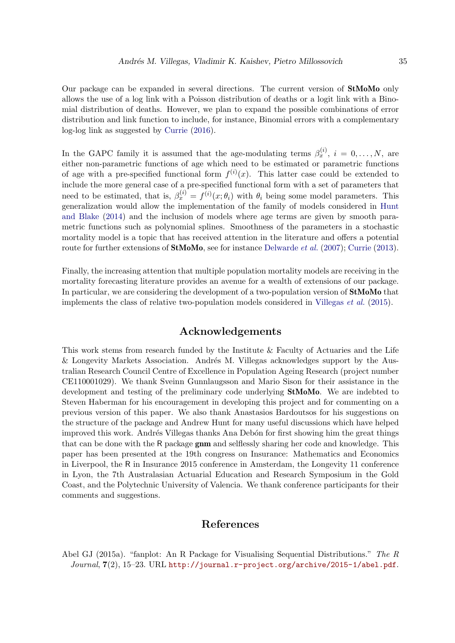Our package can be expanded in several directions. The current version of StMoMo only allows the use of a log link with a Poisson distribution of deaths or a logit link with a Binomial distribution of deaths. However, we plan to expand the possible combinations of error distribution and link function to include, for instance, Binomial errors with a complementary log-log link as suggested by [Currie](#page-36-1) [\(2016\)](#page-36-1).

In the GAPC family it is assumed that the age-modulating terms  $\beta_x^{(i)}$ ,  $i = 0, \ldots, N$ , are either non-parametric functions of age which need to be estimated or parametric functions of age with a pre-specified functional form  $f^{(i)}(x)$ . This latter case could be extended to include the more general case of a pre-specified functional form with a set of parameters that need to be estimated, that is,  $\beta_x^{(i)} = f^{(i)}(x; \theta_i)$  with  $\theta_i$  being some model parameters. This generalization would allow the implementation of the family of models considered in [Hunt](#page-36-13) [and Blake](#page-36-13) [\(2014\)](#page-36-13) and the inclusion of models where age terms are given by smooth parametric functions such as polynomial splines. Smoothness of the parameters in a stochastic mortality model is a topic that has received attention in the literature and offers a potential route for further extensions of StMoMo, see for instance [Delwarde](#page-36-14) *et al.* [\(2007\)](#page-36-14); [Currie](#page-35-15) [\(2013\)](#page-35-15).

Finally, the increasing attention that multiple population mortality models are receiving in the mortality forecasting literature provides an avenue for a wealth of extensions of our package. In particular, we are considering the development of a two-population version of **StMoMo** that implements the class of relative two-population models considered in [Villegas](#page-38-6) *et al.* [\(2015\)](#page-38-6).

## Acknowledgements

This work stems from research funded by the Institute & Faculty of Actuaries and the Life  $&$  Longevity Markets Association. Andrés M. Villegas acknowledges support by the Australian Research Council Centre of Excellence in Population Ageing Research (project number CE110001029). We thank Sveinn Gunnlaugsson and Mario Sison for their assistance in the development and testing of the preliminary code underlying StMoMo. We are indebted to Steven Haberman for his encouragement in developing this project and for commenting on a previous version of this paper. We also thank Anastasios Bardoutsos for his suggestions on the structure of the package and Andrew Hunt for many useful discussions which have helped improved this work. Andrés Villegas thanks Ana Debón for first showing him the great things that can be done with the R package gnm and selflessly sharing her code and knowledge. This paper has been presented at the 19th congress on Insurance: Mathematics and Economics in Liverpool, the R in Insurance 2015 conference in Amsterdam, the Longevity 11 conference in Lyon, the 7th Australasian Actuarial Education and Research Symposium in the Gold Coast, and the Polytechnic University of Valencia. We thank conference participants for their comments and suggestions.

# References

<span id="page-34-0"></span>Abel GJ (2015a). "fanplot: An R Package for Visualising Sequential Distributions." *The R Journal*, 7(2), 15–23. URL <http://journal.r-project.org/archive/2015-1/abel.pdf>.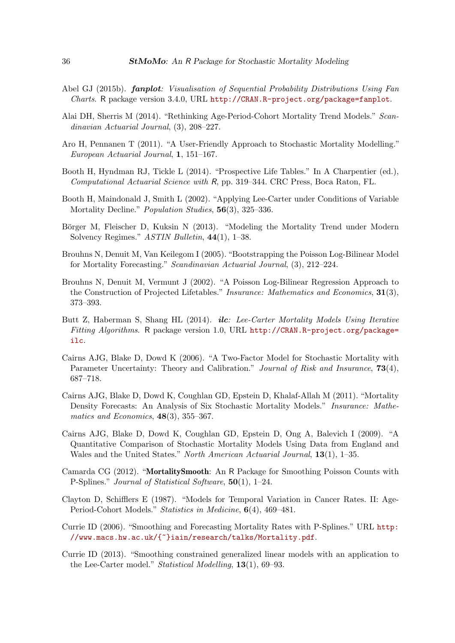- <span id="page-35-13"></span>Abel GJ (2015b). fanplot*: Visualisation of Sequential Probability Distributions Using Fan Charts*. R package version 3.4.0, URL <http://CRAN.R-project.org/package=fanplot>.
- <span id="page-35-9"></span>Alai DH, Sherris M (2014). "Rethinking Age-Period-Cohort Mortality Trend Models." *Scandinavian Actuarial Journal*, (3), 208–227.
- <span id="page-35-7"></span>Aro H, Pennanen T (2011). "A User-Friendly Approach to Stochastic Mortality Modelling." *European Actuarial Journal*, 1, 151–167.
- <span id="page-35-4"></span>Booth H, Hyndman RJ, Tickle L (2014). "Prospective Life Tables." In A Charpentier (ed.), *Computational Actuarial Science with* R, pp. 319–344. CRC Press, Boca Raton, FL.
- <span id="page-35-0"></span>Booth H, Maindonald J, Smith L (2002). "Applying Lee-Carter under Conditions of Variable Mortality Decline." *Population Studies*, 56(3), 325–336.
- <span id="page-35-8"></span>Börger M, Fleischer D, Kuksin N (2013). "Modeling the Mortality Trend under Modern Solvency Regimes." *ASTIN Bulletin*, 44(1), 1–38.
- <span id="page-35-14"></span>Brouhns N, Denuit M, Van Keilegom I (2005). "Bootstrapping the Poisson Log-Bilinear Model for Mortality Forecasting." *Scandinavian Actuarial Journal*, (3), 212–224.
- <span id="page-35-1"></span>Brouhns N, Denuit M, Vermunt J (2002). "A Poisson Log-Bilinear Regression Approach to the Construction of Projected Lifetables." *Insurance: Mathematics and Economics*, 31(3), 373–393.
- <span id="page-35-5"></span>Butt Z, Haberman S, Shang HL (2014). ilc*: Lee-Carter Mortality Models Using Iterative Fitting Algorithms*. R package version 1.0, URL [http://CRAN.R-project.org/package=](http://CRAN.R-project.org/package=ilc) [ilc](http://CRAN.R-project.org/package=ilc).
- <span id="page-35-2"></span>Cairns AJG, Blake D, Dowd K (2006). "A Two-Factor Model for Stochastic Mortality with Parameter Uncertainty: Theory and Calibration." *Journal of Risk and Insurance*, 73(4), 687–718.
- <span id="page-35-6"></span>Cairns AJG, Blake D, Dowd K, Coughlan GD, Epstein D, Khalaf-Allah M (2011). "Mortality Density Forecasts: An Analysis of Six Stochastic Mortality Models." *Insurance: Mathematics and Economics*, 48(3), 355–367.
- <span id="page-35-3"></span>Cairns AJG, Blake D, Dowd K, Coughlan GD, Epstein D, Ong A, Balevich I (2009). "A Quantitative Comparison of Stochastic Mortality Models Using Data from England and Wales and the United States." *North American Actuarial Journal*, 13(1), 1–35.
- <span id="page-35-10"></span>Camarda CG (2012). "MortalitySmooth: An R Package for Smoothing Poisson Counts with P-Splines." *Journal of Statistical Software*, 50(1), 1–24.
- <span id="page-35-11"></span>Clayton D, Schifflers E (1987). "Models for Temporal Variation in Cancer Rates. II: Age-Period-Cohort Models." *Statistics in Medicine*, 6(4), 469–481.
- <span id="page-35-12"></span>Currie ID (2006). "Smoothing and Forecasting Mortality Rates with P-Splines." URL [http:](http://www.macs.hw.ac.uk/{~}iain/research/talks/Mortality.pdf) [//www.macs.hw.ac.uk/{~}iain/research/talks/Mortality.pdf](http://www.macs.hw.ac.uk/{~}iain/research/talks/Mortality.pdf).
- <span id="page-35-15"></span>Currie ID (2013). "Smoothing constrained generalized linear models with an application to the Lee-Carter model." *Statistical Modelling*, 13(1), 69–93.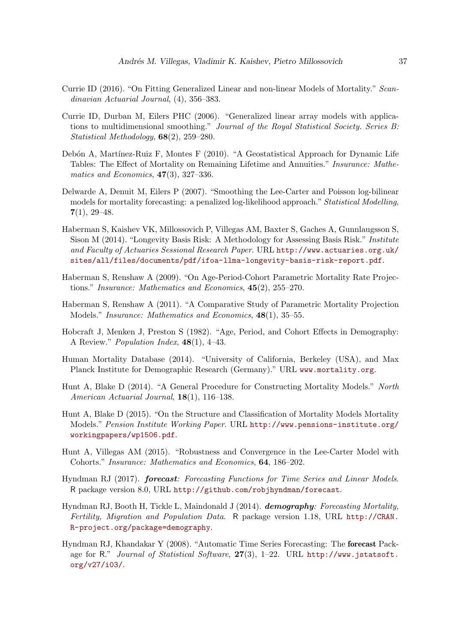- <span id="page-36-1"></span>Currie ID (2016). "On Fitting Generalized Linear and non-linear Models of Mortality." *Scandinavian Actuarial Journal*, (4), 356–383.
- <span id="page-36-5"></span>Currie ID, Durban M, Eilers PHC (2006). "Generalized linear array models with applications to multidimensional smoothing." *Journal of the Royal Statistical Society. Series B: Statistical Methodology*, 68(2), 259–280.
- <span id="page-36-8"></span>Debón A, Martínez-Ruiz F, Montes F (2010). "A Geostatistical Approach for Dynamic Life Tables: The Effect of Mortality on Remaining Lifetime and Annuities." *Insurance: Mathematics and Economics*, 47(3), 327–336.
- <span id="page-36-14"></span>Delwarde A, Denuit M, Eilers P (2007). "Smoothing the Lee-Carter and Poisson log-bilinear models for mortality forecasting: a penalized log-likelihood approach." *Statistical Modelling*,  $7(1), 29-48.$
- <span id="page-36-3"></span>Haberman S, Kaishev VK, Millossovich P, Villegas AM, Baxter S, Gaches A, Gunnlaugsson S, Sison M (2014). "Longevity Basis Risk: A Methodology for Assessing Basis Risk." *Institute and Faculty of Actuaries Sessional Research Paper*. URL [http://www.actuaries.org.uk/](http://www.actuaries.org.uk/sites/all/files/documents/pdf/ifoa-llma-longevity-basis-risk-report.pdf) [sites/all/files/documents/pdf/ifoa-llma-longevity-basis-risk-report.pdf](http://www.actuaries.org.uk/sites/all/files/documents/pdf/ifoa-llma-longevity-basis-risk-report.pdf).
- <span id="page-36-12"></span>Haberman S, Renshaw A (2009). "On Age-Period-Cohort Parametric Mortality Rate Projections." *Insurance: Mathematics and Economics*, 45(2), 255–270.
- <span id="page-36-4"></span>Haberman S, Renshaw A (2011). "A Comparative Study of Parametric Mortality Projection Models." *Insurance: Mathematics and Economics*, 48(1), 35–55.
- <span id="page-36-6"></span>Hobcraft J, Menken J, Preston S (1982). "Age, Period, and Cohort Effects in Demography: A Review." *Population Index*, 48(1), 4–43.
- <span id="page-36-7"></span>Human Mortality Database (2014). "University of California, Berkeley (USA), and Max Planck Institute for Demographic Research (Germany)." URL <www.mortality.org>.
- <span id="page-36-13"></span>Hunt A, Blake D (2014). "A General Procedure for Constructing Mortality Models." *North American Actuarial Journal*, 18(1), 116–138.
- <span id="page-36-0"></span>Hunt A, Blake D (2015). "On the Structure and Classification of Mortality Models Mortality Models." *Pension Institute Working Paper*. URL [http://www.pensions-institute.org/](http://www.pensions-institute.org/workingpapers/wp1506.pdf) [workingpapers/wp1506.pdf](http://www.pensions-institute.org/workingpapers/wp1506.pdf).
- <span id="page-36-9"></span>Hunt A, Villegas AM (2015). "Robustness and Convergence in the Lee-Carter Model with Cohorts." *Insurance: Mathematics and Economics*, 64, 186–202.
- <span id="page-36-11"></span>Hyndman RJ (2017). forecast*: Forecasting Functions for Time Series and Linear Models*. R package version 8.0, URL <http://github.com/robjhyndman/forecast>.
- <span id="page-36-2"></span>Hyndman RJ, Booth H, Tickle L, Maindonald J (2014). demography*: Forecasting Mortality, Fertility, Migration and Population Data*. R package version 1.18, URL [http://CRAN.](http://CRAN.R-project.org/package=demography) [R-project.org/package=demography](http://CRAN.R-project.org/package=demography).
- <span id="page-36-10"></span>Hyndman RJ, Khandakar Y (2008). "Automatic Time Series Forecasting: The forecast Package for R." *Journal of Statistical Software*, 27(3), 1–22. URL [http://www.jstatsoft.](http://www.jstatsoft.org/v27/i03/) [org/v27/i03/](http://www.jstatsoft.org/v27/i03/).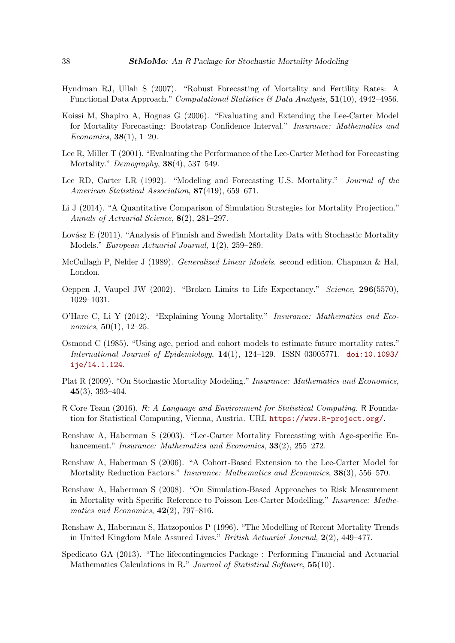- <span id="page-37-4"></span>Hyndman RJ, Ullah S (2007). "Robust Forecasting of Mortality and Fertility Rates: A Functional Data Approach." *Computational Statistics & Data Analysis*, 51(10), 4942–4956.
- <span id="page-37-14"></span>Koissi M, Shapiro A, Hognas G (2006). "Evaluating and Extending the Lee-Carter Model for Mortality Forecasting: Bootstrap Confidence Interval." *Insurance: Mathematics and Economics*, 38(1), 1–20.
- <span id="page-37-2"></span>Lee R, Miller T (2001). "Evaluating the Performance of the Lee-Carter Method for Forecasting Mortality." *Demography*, 38(4), 537–549.
- <span id="page-37-1"></span>Lee RD, Carter LR (1992). "Modeling and Forecasting U.S. Mortality." *Journal of the American Statistical Association*, 87(419), 659–671.
- <span id="page-37-16"></span>Li J (2014). "A Quantitative Comparison of Simulation Strategies for Mortality Projection." *Annals of Actuarial Science*, 8(2), 281–297.
- <span id="page-37-9"></span>Lovász E (2011). "Analysis of Finnish and Swedish Mortality Data with Stochastic Mortality Models." *European Actuarial Journal*, 1(2), 259–289.
- <span id="page-37-10"></span>McCullagh P, Nelder J (1989). *Generalized Linear Models*. second edition. Chapman & Hal, London.
- <span id="page-37-0"></span>Oeppen J, Vaupel JW (2002). "Broken Limits to Life Expectancy." *Science*, 296(5570), 1029–1031.
- <span id="page-37-11"></span>O'Hare C, Li Y (2012). "Explaining Young Mortality." *Insurance: Mathematics and Economics*, 50(1), 12–25.
- <span id="page-37-8"></span>Osmond C (1985). "Using age, period and cohort models to estimate future mortality rates." *International Journal of Epidemiology*, 14(1), 124–129. ISSN 03005771. [doi:10.1093/](http://dx.doi.org/10.1093/ije/14.1.124) [ije/14.1.124](http://dx.doi.org/10.1093/ije/14.1.124).
- <span id="page-37-6"></span>Plat R (2009). "On Stochastic Mortality Modeling." *Insurance: Mathematics and Economics*, 45(3), 393–404.
- <span id="page-37-7"></span>R Core Team (2016). R*: A Language and Environment for Statistical Computing*. R Foundation for Statistical Computing, Vienna, Austria. URL <https://www.R-project.org/>.
- <span id="page-37-3"></span>Renshaw A, Haberman S (2003). "Lee-Carter Mortality Forecasting with Age-specific Enhancement." *Insurance: Mathematics and Economics*, 33(2), 255–272.
- <span id="page-37-5"></span>Renshaw A, Haberman S (2006). "A Cohort-Based Extension to the Lee-Carter Model for Mortality Reduction Factors." *Insurance: Mathematics and Economics*, 38(3), 556–570.
- <span id="page-37-15"></span>Renshaw A, Haberman S (2008). "On Simulation-Based Approaches to Risk Measurement in Mortality with Specific Reference to Poisson Lee-Carter Modelling." *Insurance: Mathematics and Economics*, 42(2), 797–816.
- <span id="page-37-12"></span>Renshaw A, Haberman S, Hatzopoulos P (1996). "The Modelling of Recent Mortality Trends in United Kingdom Male Assured Lives." *British Actuarial Journal*, 2(2), 449–477.
- <span id="page-37-13"></span>Spedicato GA (2013). "The lifecontingencies Package : Performing Financial and Actuarial Mathematics Calculations in R." *Journal of Statistical Software*, 55(10).